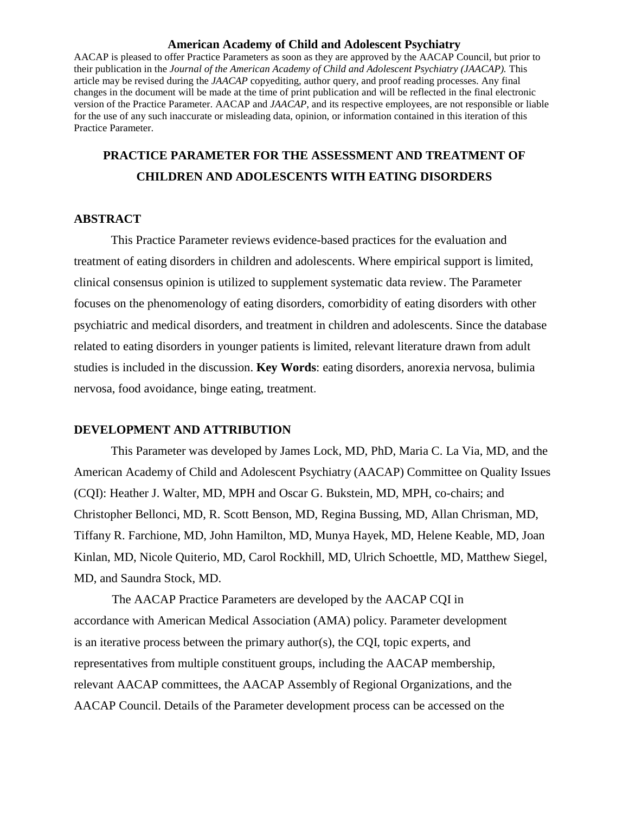### **American Academy of Child and Adolescent Psychiatry**

AACAP is pleased to offer Practice Parameters as soon as they are approved by the AACAP Council, but prior to their publication in the *Journal of the American Academy of Child and Adolescent Psychiatry (JAACAP).* This article may be revised during the *JAACAP* copyediting, author query, and proof reading processes. Any final changes in the document will be made at the time of print publication and will be reflected in the final electronic version of the Practice Parameter. AACAP and *JAACAP*, and its respective employees, are not responsible or liable for the use of any such inaccurate or misleading data, opinion, or information contained in this iteration of this Practice Parameter.

## **PRACTICE PARAMETER FOR THE ASSESSMENT AND TREATMENT OF CHILDREN AND ADOLESCENTS WITH EATING DISORDERS**

## **ABSTRACT**

This Practice Parameter reviews evidence-based practices for the evaluation and treatment of eating disorders in children and adolescents. Where empirical support is limited, clinical consensus opinion is utilized to supplement systematic data review. The Parameter focuses on the phenomenology of eating disorders, comorbidity of eating disorders with other psychiatric and medical disorders, and treatment in children and adolescents. Since the database related to eating disorders in younger patients is limited, relevant literature drawn from adult studies is included in the discussion. **Key Words**: eating disorders, anorexia nervosa, bulimia nervosa, food avoidance, binge eating, treatment.

## **DEVELOPMENT AND ATTRIBUTION**

This Parameter was developed by James Lock, MD, PhD, Maria C. La Via, MD, and the American Academy of Child and Adolescent Psychiatry (AACAP) Committee on Quality Issues (CQI): Heather J. Walter, MD, MPH and Oscar G. Bukstein, MD, MPH, co-chairs; and Christopher Bellonci, MD, R. Scott Benson, MD, Regina Bussing, MD, Allan Chrisman, MD, Tiffany R. Farchione, MD, John Hamilton, MD, Munya Hayek, MD, Helene Keable, MD, Joan Kinlan, MD, Nicole Quiterio, MD, Carol Rockhill, MD, Ulrich Schoettle, MD, Matthew Siegel, MD, and Saundra Stock, MD.

The AACAP Practice Parameters are developed by the AACAP CQI in accordance with American Medical Association (AMA) policy. Parameter development is an iterative process between the primary author(s), the CQI, topic experts, and representatives from multiple constituent groups, including the AACAP membership, relevant AACAP committees, the AACAP Assembly of Regional Organizations, and the AACAP Council. Details of the Parameter development process can be accessed on the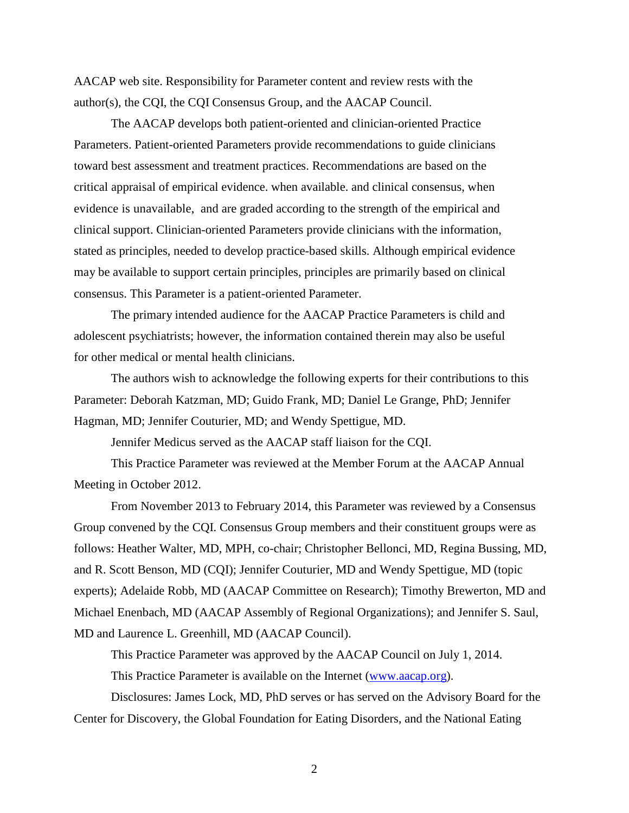AACAP web site. Responsibility for Parameter content and review rests with the author(s), the CQI, the CQI Consensus Group, and the AACAP Council.

The AACAP develops both patient-oriented and clinician-oriented Practice Parameters. Patient-oriented Parameters provide recommendations to guide clinicians toward best assessment and treatment practices. Recommendations are based on the critical appraisal of empirical evidence. when available. and clinical consensus, when evidence is unavailable, and are graded according to the strength of the empirical and clinical support. Clinician-oriented Parameters provide clinicians with the information, stated as principles, needed to develop practice-based skills. Although empirical evidence may be available to support certain principles, principles are primarily based on clinical consensus. This Parameter is a patient-oriented Parameter.

The primary intended audience for the AACAP Practice Parameters is child and adolescent psychiatrists; however, the information contained therein may also be useful for other medical or mental health clinicians.

The authors wish to acknowledge the following experts for their contributions to this Parameter: Deborah Katzman, MD; Guido Frank, MD; Daniel Le Grange, PhD; Jennifer Hagman, MD; Jennifer Couturier, MD; and Wendy Spettigue, MD.

Jennifer Medicus served as the AACAP staff liaison for the CQI.

This Practice Parameter was reviewed at the Member Forum at the AACAP Annual Meeting in October 2012.

From November 2013 to February 2014, this Parameter was reviewed by a Consensus Group convened by the CQI. Consensus Group members and their constituent groups were as follows: Heather Walter, MD, MPH, co-chair; Christopher Bellonci, MD, Regina Bussing, MD, and R. Scott Benson, MD (CQI); Jennifer Couturier, MD and Wendy Spettigue, MD (topic experts); Adelaide Robb, MD (AACAP Committee on Research); Timothy Brewerton, MD and Michael Enenbach, MD (AACAP Assembly of Regional Organizations); and Jennifer S. Saul, MD and Laurence L. Greenhill, MD (AACAP Council).

This Practice Parameter was approved by the AACAP Council on July 1, 2014. This Practice Parameter is available on the Internet [\(www.aacap.org\)](http://www.aacap.org/).

Disclosures: James Lock, MD, PhD serves or has served on the Advisory Board for the Center for Discovery, the Global Foundation for Eating Disorders, and the National Eating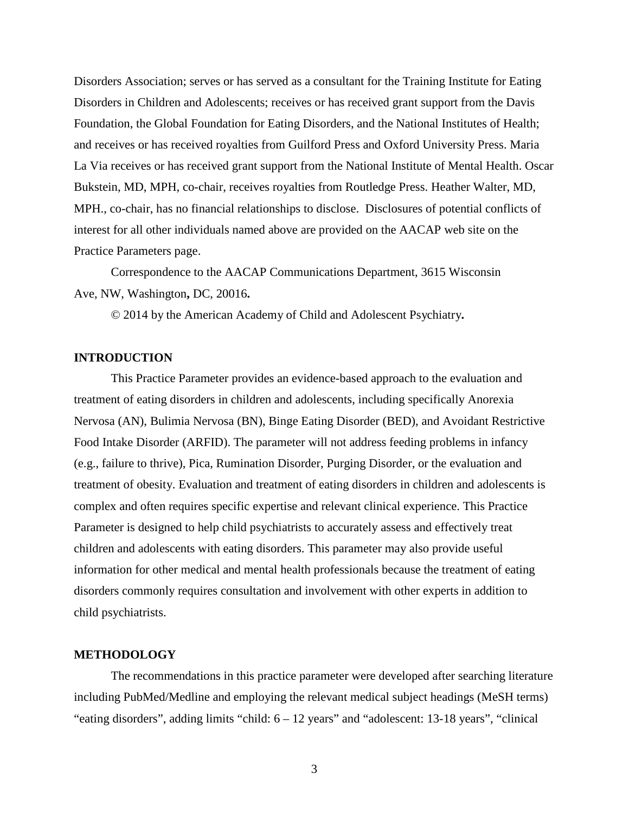Disorders Association; serves or has served as a consultant for the Training Institute for Eating Disorders in Children and Adolescents; receives or has received grant support from the Davis Foundation, the Global Foundation for Eating Disorders, and the National Institutes of Health; and receives or has received royalties from Guilford Press and Oxford University Press. Maria La Via receives or has received grant support from the National Institute of Mental Health. Oscar Bukstein, MD, MPH, co-chair, receives royalties from Routledge Press. Heather Walter, MD, MPH., co-chair, has no financial relationships to disclose. Disclosures of potential conflicts of interest for all other individuals named above are provided on the AACAP web site on the Practice Parameters page.

Correspondence to the AACAP Communications Department, 3615 Wisconsin Ave, NW, Washington**,** DC, 20016**.**

© 2014 by the American Academy of Child and Adolescent Psychiatry**.**

## **INTRODUCTION**

This Practice Parameter provides an evidence-based approach to the evaluation and treatment of eating disorders in children and adolescents, including specifically Anorexia Nervosa (AN), Bulimia Nervosa (BN), Binge Eating Disorder (BED), and Avoidant Restrictive Food Intake Disorder (ARFID). The parameter will not address feeding problems in infancy (e.g., failure to thrive), Pica, Rumination Disorder, Purging Disorder, or the evaluation and treatment of obesity. Evaluation and treatment of eating disorders in children and adolescents is complex and often requires specific expertise and relevant clinical experience. This Practice Parameter is designed to help child psychiatrists to accurately assess and effectively treat children and adolescents with eating disorders. This parameter may also provide useful information for other medical and mental health professionals because the treatment of eating disorders commonly requires consultation and involvement with other experts in addition to child psychiatrists.

## **METHODOLOGY**

The recommendations in this practice parameter were developed after searching literature including PubMed/Medline and employing the relevant medical subject headings (MeSH terms) "eating disorders", adding limits "child: 6 – 12 years" and "adolescent: 13-18 years", "clinical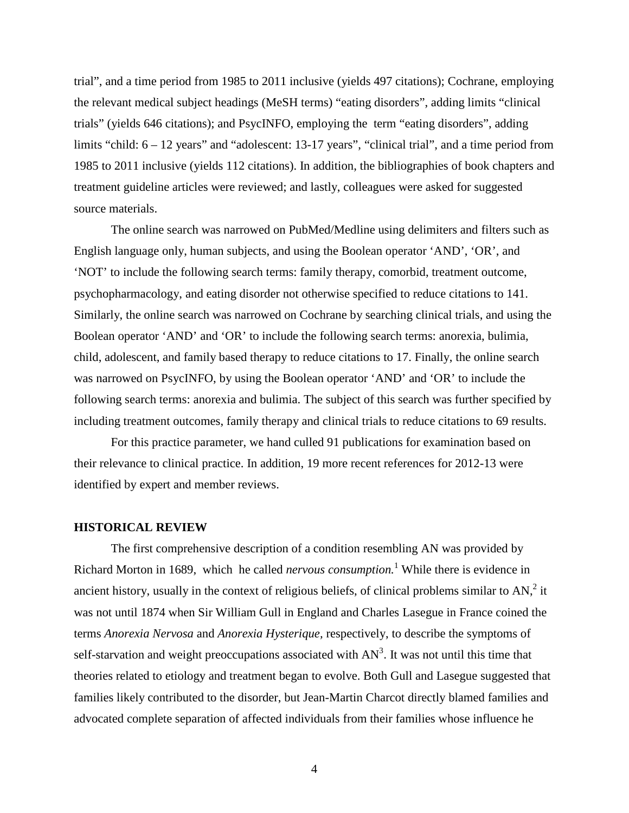trial", and a time period from 1985 to 2011 inclusive (yields 497 citations); Cochrane, employing the relevant medical subject headings (MeSH terms) "eating disorders", adding limits "clinical trials" (yields 646 citations); and PsycINFO, employing the term "eating disorders", adding limits "child:  $6 - 12$  years" and "adolescent: 13-17 years", "clinical trial", and a time period from 1985 to 2011 inclusive (yields 112 citations). In addition, the bibliographies of book chapters and treatment guideline articles were reviewed; and lastly, colleagues were asked for suggested source materials.

The online search was narrowed on PubMed/Medline using delimiters and filters such as English language only, human subjects, and using the Boolean operator 'AND', 'OR', and 'NOT' to include the following search terms: family therapy, comorbid, treatment outcome, psychopharmacology, and eating disorder not otherwise specified to reduce citations to 141. Similarly, the online search was narrowed on Cochrane by searching clinical trials, and using the Boolean operator 'AND' and 'OR' to include the following search terms: anorexia, bulimia, child, adolescent, and family based therapy to reduce citations to 17. Finally, the online search was narrowed on PsycINFO, by using the Boolean operator 'AND' and 'OR' to include the following search terms: anorexia and bulimia. The subject of this search was further specified by including treatment outcomes, family therapy and clinical trials to reduce citations to 69 results.

For this practice parameter, we hand culled 91 publications for examination based on their relevance to clinical practice. In addition, 19 more recent references for 2012-13 were identified by expert and member reviews.

## **HISTORICAL REVIEW**

The first comprehensive description of a condition resembling AN was provided by Richard Morton in 1689, which he called *nervous consumption.* [1](#page-27-0) While there is evidence in ancient history, usually in the context of religious beliefs, of clinical problems similar to AN,<sup>2</sup> it was not until 1874 when Sir William Gull in England and Charles Lasegue in France coined the terms *Anorexia Nervosa* and *Anorexia Hysterique,* respectively, to describe the symptoms of self-starvation and weight preoccupations associated with  $AN<sup>3</sup>$ . It was not until this time that theories related to etiology and treatment began to evolve. Both Gull and Lasegue suggested that families likely contributed to the disorder, but Jean-Martin Charcot directly blamed families and advocated complete separation of affected individuals from their families whose influence he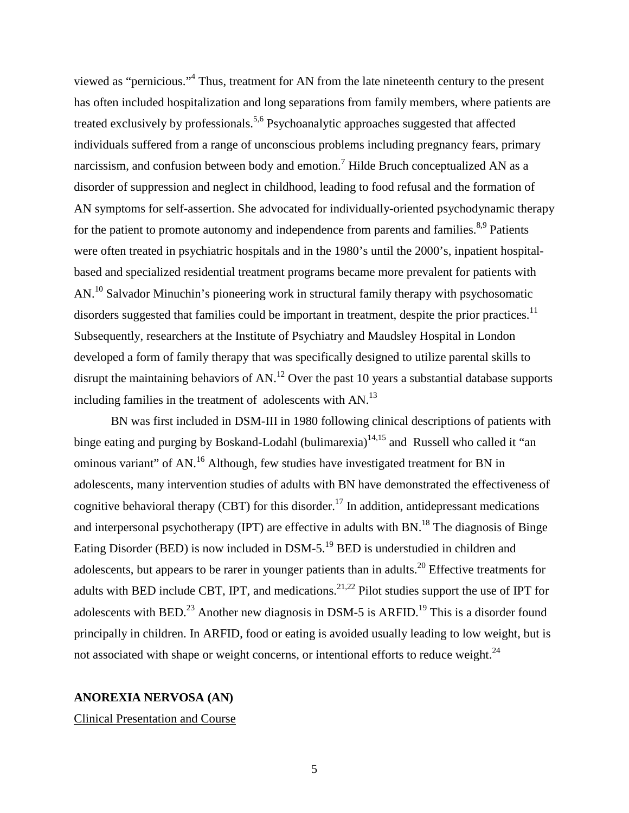viewed as "pernicious.["4](#page-27-3) Thus, treatment for AN from the late nineteenth century to the present has often included hospitalization and long separations from family members, where patients are treated exclusively by professionals.<sup>5,[6](#page-27-5)</sup> Psychoanalytic approaches suggested that affected individuals suffered from a range of unconscious problems including pregnancy fears, primary narcissism, and confusion between body and emotion.<sup>[7](#page-27-6)</sup> Hilde Bruch conceptualized AN as a disorder of suppression and neglect in childhood, leading to food refusal and the formation of AN symptoms for self-assertion. She advocated for individually-oriented psychodynamic therapy for the patient to promote autonomy and independence from parents and families.<sup>8,[9](#page-27-8)</sup> Patients were often treated in psychiatric hospitals and in the 1980's until the 2000's, inpatient hospitalbased and specialized residential treatment programs became more prevalent for patients with AN.<sup>10</sup> Salvador Minuchin's pioneering work in structural family therapy with psychosomatic disorders suggested that families could be important in treatment, despite the prior practices.<sup>[11](#page-27-10)</sup> Subsequently, researchers at the Institute of Psychiatry and Maudsley Hospital in London developed a form of family therapy that was specifically designed to utilize parental skills to disrupt the maintaining behaviors of AN.<sup>[12](#page-27-11)</sup> Over the past 10 years a substantial database supports including families in the treatment of adolescents with AN.<sup>13</sup>

BN was first included in DSM-III in 1980 following clinical descriptions of patients with binge eating and purging by Boskand-Lodahl (bulimarexia)<sup>14[,15](#page-27-14)</sup> and Russell who called it "an ominous variant" of AN.<sup>[16](#page-27-15)</sup> Although, few studies have investigated treatment for BN in adolescents, many intervention studies of adults with BN have demonstrated the effectiveness of cognitive behavioral therapy (CBT) for this disorder.<sup>[17](#page-27-16)</sup> In addition, antidepressant medications and interpersonal psychotherapy (IPT) are effective in adults with  $BN<sup>18</sup>$ . The diagnosis of Binge Eating Disorder (BED) is now included in DSM-5.<sup>19</sup> BED is understudied in children and adolescents, but appears to be rarer in younger patients than in adults.<sup>20</sup> Effective treatments for adults with BED include CBT, IPT, and medications.<sup>21[,22](#page-28-0)</sup> Pilot studies support the use of IPT for adolescents with BED.<sup>[23](#page-28-1)</sup> Another new diagnosis in DSM-5 is ARFID.<sup>19</sup> This is a disorder found principally in children. In ARFID, food or eating is avoided usually leading to low weight, but is not associated with shape or weight concerns, or intentional efforts to reduce weight.<sup>24</sup>

## **ANOREXIA NERVOSA (AN)**

Clinical Presentation and Course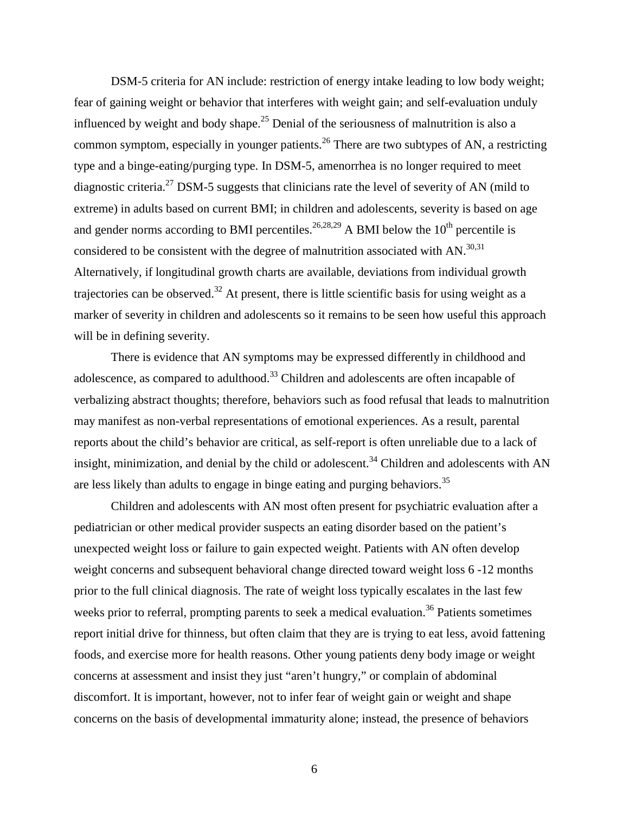DSM-5 criteria for AN include: restriction of energy intake leading to low body weight; fear of gaining weight or behavior that interferes with weight gain; and self-evaluation unduly influenced by weight and body shape.<sup>[25](#page-28-3)</sup> Denial of the seriousness of malnutrition is also a common symptom, especially in younger patients.<sup>26</sup> There are two subtypes of AN, a restricting type and a binge-eating/purging type. In DSM-5, amenorrhea is no longer required to meet diagnostic criteria.<sup>27</sup> DSM-5 suggests that clinicians rate the level of severity of AN (mild to extreme) in adults based on current BMI; in children and adolescents, severity is based on age and gender norms according to BMI percentiles.<sup>26,[28,](#page-28-6)[29](#page-28-7)</sup> A BMI below the  $10<sup>th</sup>$  percentile is considered to be consistent with the degree of malnutrition associated with AN.<sup>30[,31](#page-28-9)</sup> Alternatively, if longitudinal growth charts are available, deviations from individual growth trajectories can be observed.<sup>[32](#page-28-10)</sup> At present, there is little scientific basis for using weight as a marker of severity in children and adolescents so it remains to be seen how useful this approach will be in defining severity.

There is evidence that AN symptoms may be expressed differently in childhood and adolescence, as compared to adulthood.<sup>[33](#page-28-11)</sup> Children and adolescents are often incapable of verbalizing abstract thoughts; therefore, behaviors such as food refusal that leads to malnutrition may manifest as non-verbal representations of emotional experiences. As a result, parental reports about the child's behavior are critical, as self-report is often unreliable due to a lack of insight, minimization, and denial by the child or adolescent.<sup>[34](#page-28-12)</sup> Children and adolescents with AN are less likely than adults to engage in binge eating and purging behaviors.<sup>[35](#page-28-13)</sup>

Children and adolescents with AN most often present for psychiatric evaluation after a pediatrician or other medical provider suspects an eating disorder based on the patient's unexpected weight loss or failure to gain expected weight. Patients with AN often develop weight concerns and subsequent behavioral change directed toward weight loss 6 -12 months prior to the full clinical diagnosis. The rate of weight loss typically escalates in the last few weeks prior to referral, prompting parents to seek a medical evaluation.<sup>[36](#page-28-14)</sup> Patients sometimes report initial drive for thinness, but often claim that they are is trying to eat less, avoid fattening foods, and exercise more for health reasons. Other young patients deny body image or weight concerns at assessment and insist they just "aren't hungry," or complain of abdominal discomfort. It is important, however, not to infer fear of weight gain or weight and shape concerns on the basis of developmental immaturity alone; instead, the presence of behaviors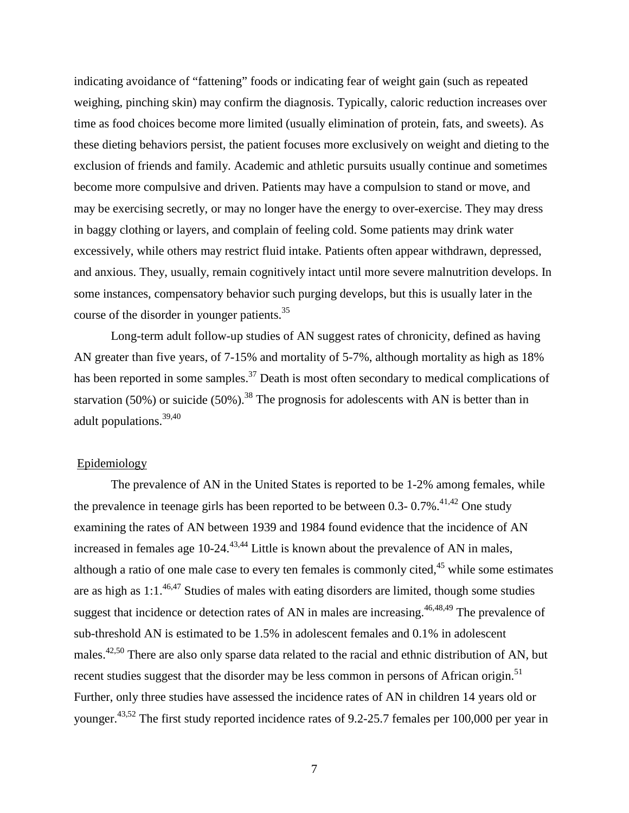indicating avoidance of "fattening" foods or indicating fear of weight gain (such as repeated weighing, pinching skin) may confirm the diagnosis. Typically, caloric reduction increases over time as food choices become more limited (usually elimination of protein, fats, and sweets). As these dieting behaviors persist, the patient focuses more exclusively on weight and dieting to the exclusion of friends and family. Academic and athletic pursuits usually continue and sometimes become more compulsive and driven. Patients may have a compulsion to stand or move, and may be exercising secretly, or may no longer have the energy to over-exercise. They may dress in baggy clothing or layers, and complain of feeling cold. Some patients may drink water excessively, while others may restrict fluid intake. Patients often appear withdrawn, depressed, and anxious. They, usually, remain cognitively intact until more severe malnutrition develops. In some instances, compensatory behavior such purging develops, but this is usually later in the course of the disorder in younger patients.<sup>35</sup>

Long-term adult follow-up studies of AN suggest rates of chronicity, defined as having AN greater than five years, of 7-15% and mortality of 5-7%, although mortality as high as 18% has been reported in some samples.<sup>[37](#page-28-15)</sup> Death is most often secondary to medical complications of starvation (50%) or suicide (50%).<sup>[38](#page-28-16)</sup> The prognosis for adolescents with AN is better than in adult populations. [39](#page-28-17)[,40](#page-29-0)

## Epidemiology

The prevalence of AN in the United States is reported to be 1-2% among females, while the prevalence in teenage girls has been reported to be between 0.3-  $0.7\%$ <sup>41[,42](#page-29-2)</sup> One study examining the rates of AN between 1939 and 1984 found evidence that the incidence of AN increased in females age  $10-24$ <sup>[43,](#page-29-3)[44](#page-29-4)</sup> Little is known about the prevalence of AN in males, although a ratio of one male case to every ten females is commonly cited, <sup>[45](#page-29-5)</sup> while some estimates are as high as  $1:1.^{46,47}$  $1:1.^{46,47}$  $1:1.^{46,47}$  Studies of males with eating disorders are limited, though some studies suggest that incidence or detection rates of AN in males are increasing.<sup>46[,48](#page-29-8)[,49](#page-29-9)</sup> The prevalence of sub-threshold AN is estimated to be 1.5% in adolescent females and 0.1% in adolescent males.<sup>[42](#page-29-2)[,50](#page-29-10)</sup> There are also only sparse data related to the racial and ethnic distribution of AN, but recent studies suggest that the disorder may be less common in persons of African origin.<sup>51</sup> Further, only three studies have assessed the incidence rates of AN in children 14 years old or younger[.43,](#page-29-3)[52](#page-29-12) The first study reported incidence rates of 9.2-25.7 females per 100,000 per year in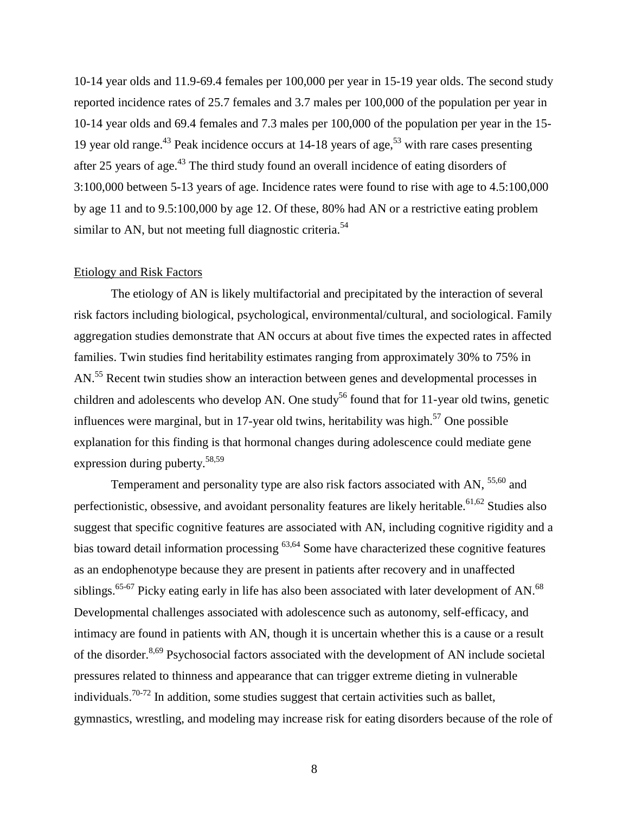10-14 year olds and 11.9-69.4 females per 100,000 per year in 15-19 year olds. The second study reported incidence rates of 25.7 females and 3.7 males per 100,000 of the population per year in 10-14 year olds and 69.4 females and 7.3 males per 100,000 of the population per year in the 15- 19 year old range.<sup>[43](#page-29-3)</sup> Peak incidence occurs at 14-18 years of age,<sup>[53](#page-29-13)</sup> with rare cases presenting after 25 years of age.<sup>[43](#page-29-3)</sup> The third study found an overall incidence of eating disorders of 3:100,000 between 5-13 years of age. Incidence rates were found to rise with age to 4.5:100,000 by age 11 and to 9.5:100,000 by age 12. Of these, 80% had AN or a restrictive eating problem similar to AN, but not meeting full diagnostic criteria.<sup>[54](#page-29-14)</sup>

## Etiology and Risk Factors

The etiology of AN is likely multifactorial and precipitated by the interaction of several risk factors including biological, psychological, environmental/cultural, and sociological. Family aggregation studies demonstrate that AN occurs at about five times the expected rates in affected families. Twin studies find heritability estimates ranging from approximately 30% to 75% in AN.<sup>55</sup> Recent twin studies show an interaction between genes and developmental processes in children and adolescents who develop AN. One study<sup>56</sup> found that for 11-year old twins, genetic influences were marginal, but in 17-year old twins, heritability was high.<sup>[57](#page-29-17)</sup> One possible explanation for this finding is that hormonal changes during adolescence could mediate gene expression during puberty.<sup>58,[59](#page-30-0)</sup>

Temperament and personality type are also risk factors associated with AN,  $55,60$  $55,60$  and perfectionistic, obsessive, and avoidant personality features are likely heritable.<sup>61,[62](#page-30-3)</sup> Studies also suggest that specific cognitive features are associated with AN, including cognitive rigidity and a bias toward detail information processing  $63,64$  $63,64$  Some have characterized these cognitive features as an endophenotype because they are present in patients after recovery and in unaffected siblings.<sup>65-67</sup> Picky eating early in life has also been associated with later development of AN.<sup>68</sup> Developmental challenges associated with adolescence such as autonomy, self-efficacy, and intimacy are found in patients with AN, though it is uncertain whether this is a cause or a result of the disorder.<sup>8,[69](#page-30-8)</sup> Psychosocial factors associated with the development of AN include societal pressures related to thinness and appearance that can trigger extreme dieting in vulnerable individuals.<sup>70-72</sup> In addition, some studies suggest that certain activities such as ballet, gymnastics, wrestling, and modeling may increase risk for eating disorders because of the role of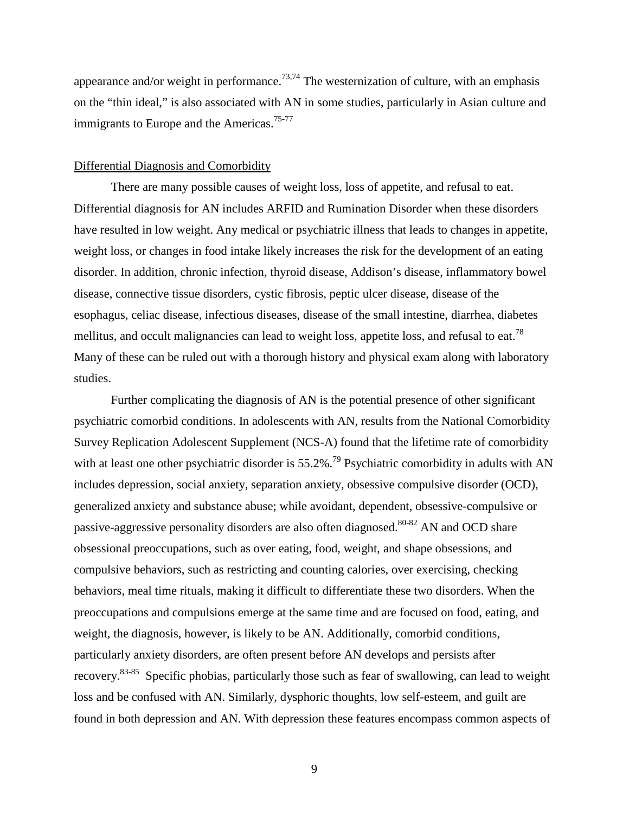appearance and/or weight in performance.<sup>[73](#page-30-10)[,74](#page-30-11)</sup> The westernization of culture, with an emphasis on the "thin ideal," is also associated with AN in some studies, particularly in Asian culture and immigrants to Europe and the Americas.<sup>75-77</sup>

## Differential Diagnosis and Comorbidity

There are many possible causes of weight loss, loss of appetite, and refusal to eat. Differential diagnosis for AN includes ARFID and Rumination Disorder when these disorders have resulted in low weight. Any medical or psychiatric illness that leads to changes in appetite, weight loss, or changes in food intake likely increases the risk for the development of an eating disorder. In addition, chronic infection, thyroid disease, Addison's disease, inflammatory bowel disease, connective tissue disorders, cystic fibrosis, peptic ulcer disease, disease of the esophagus, celiac disease, infectious diseases, disease of the small intestine, diarrhea, diabetes mellitus, and occult malignancies can lead to weight loss, appetite loss, and refusal to eat.<sup>78</sup> Many of these can be ruled out with a thorough history and physical exam along with laboratory studies.

Further complicating the diagnosis of AN is the potential presence of other significant psychiatric comorbid conditions. In adolescents with AN, results from the National Comorbidity Survey Replication Adolescent Supplement (NCS-A) found that the lifetime rate of comorbidity with at least one other psychiatric disorder is  $55.2\%$ .<sup>[79](#page-31-1)</sup> Psychiatric comorbidity in adults with AN includes depression, social anxiety, separation anxiety, obsessive compulsive disorder (OCD), generalized anxiety and substance abuse; while avoidant, dependent, obsessive-compulsive or passive-aggressive personality disorders are also often diagnosed.<sup>80-82</sup> AN and OCD share obsessional preoccupations, such as over eating, food, weight, and shape obsessions, and compulsive behaviors, such as restricting and counting calories, over exercising, checking behaviors, meal time rituals, making it difficult to differentiate these two disorders. When the preoccupations and compulsions emerge at the same time and are focused on food, eating, and weight, the diagnosis, however, is likely to be AN. Additionally, comorbid conditions, particularly anxiety disorders, are often present before AN develops and persists after recovery[.83-85](#page-31-3) Specific phobias, particularly those such as fear of swallowing, can lead to weight loss and be confused with AN. Similarly, dysphoric thoughts, low self-esteem, and guilt are found in both depression and AN. With depression these features encompass common aspects of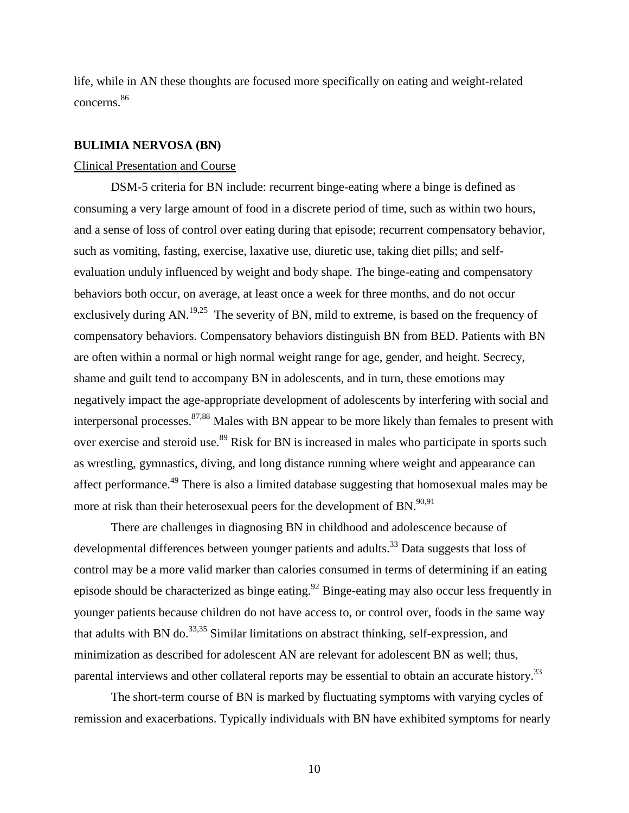life, while in AN these thoughts are focused more specifically on eating and weight-related concerns. [86](#page-31-4)

#### **BULIMIA NERVOSA (BN)**

## Clinical Presentation and Course

DSM-5 criteria for BN include: recurrent binge-eating where a binge is defined as consuming a very large amount of food in a discrete period of time, such as within two hours, and a sense of loss of control over eating during that episode; recurrent compensatory behavior, such as vomiting, fasting, exercise, laxative use, diuretic use, taking diet pills; and selfevaluation unduly influenced by weight and body shape. The binge-eating and compensatory behaviors both occur, on average, at least once a week for three months, and do not occur exclusively during AN.<sup>[19,](#page-27-18)[25](#page-28-3)</sup> The severity of BN, mild to extreme, is based on the frequency of compensatory behaviors. Compensatory behaviors distinguish BN from BED. Patients with BN are often within a normal or high normal weight range for age, gender, and height. Secrecy, shame and guilt tend to accompany BN in adolescents, and in turn, these emotions may negatively impact the age-appropriate development of adolescents by interfering with social and interpersonal processes.  $87,88$  $87,88$  Males with BN appear to be more likely than females to present with over exercise and steroid use.<sup>89</sup> Risk for BN is increased in males who participate in sports such as wrestling, gymnastics, diving, and long distance running where weight and appearance can affect performance[.49](#page-29-9) There is also a limited database suggesting that homosexual males may be more at risk than their heterosexual peers for the development of BN.<sup>90[,91](#page-31-9)</sup>

There are challenges in diagnosing BN in childhood and adolescence because of developmental differences between younger patients and adults.<sup>33</sup> Data suggests that loss of control may be a more valid marker than calories consumed in terms of determining if an eating episode should be characterized as binge eating.<sup>92</sup> Binge-eating may also occur less frequently in younger patients because children do not have access to, or control over, foods in the same way that adults with BN do.<sup>[33,](#page-28-11)[35](#page-28-13)</sup> Similar limitations on abstract thinking, self-expression, and minimization as described for adolescent AN are relevant for adolescent BN as well; thus, parental interviews and other collateral reports may be essential to obtain an accurate history.<sup>33</sup>

The short-term course of BN is marked by fluctuating symptoms with varying cycles of remission and exacerbations. Typically individuals with BN have exhibited symptoms for nearly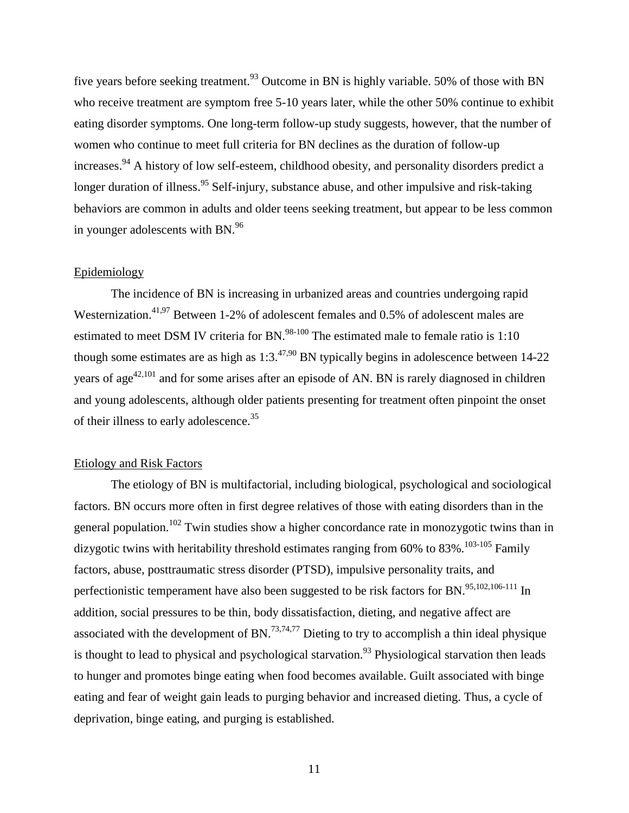five years before seeking treatment.<sup>93</sup> Outcome in BN is highly variable. 50% of those with BN who receive treatment are symptom free 5-10 years later, while the other 50% continue to exhibit eating disorder symptoms. One long-term follow-up study suggests, however, that the number of women who continue to meet full criteria for BN declines as the duration of follow-up increases.<sup>94</sup> A history of low self-esteem, childhood obesity, and personality disorders predict a longer duration of illness.<sup>95</sup> Self-injury, substance abuse, and other impulsive and risk-taking behaviors are common in adults and older teens seeking treatment, but appear to be less common in younger adolescents with BN.<sup>96</sup>

### Epidemiology

The incidence of BN is increasing in urbanized areas and countries undergoing rapid Westernization.<sup>41,[97](#page-32-0)</sup> Between 1-2% of adolescent females and 0.5% of adolescent males are estimated to meet DSM IV criteria for BN.<sup>98-100</sup> The estimated male to female ratio is  $1:10$ though some estimates are as high as  $1:3.^{47,90}$  $1:3.^{47,90}$  $1:3.^{47,90}$  $1:3.^{47,90}$  BN typically begins in adolescence between 14-22 years of age<sup>42[,101](#page-32-2)</sup> and for some arises after an episode of AN. BN is rarely diagnosed in children and young adolescents, although older patients presenting for treatment often pinpoint the onset of their illness to early adolescence.<sup>35</sup>

## Etiology and Risk Factors

The etiology of BN is multifactorial, including biological, psychological and sociological factors. BN occurs more often in first degree relatives of those with eating disorders than in the general population.<sup>[102](#page-32-3)</sup> Twin studies show a higher concordance rate in monozygotic twins than in dizygotic twins with heritability threshold estimates ranging from  $60\%$  to  $83\%$ .<sup>103-105</sup> Family factors, abuse, posttraumatic stress disorder (PTSD), impulsive personality traits, and perfectionistic temperament have also been suggested to be risk factors for BN.<sup>95[,102](#page-32-3)[,106-111](#page-32-5)</sup> In addition, social pressures to be thin, body dissatisfaction, dieting, and negative affect are associated with the development of BN.<sup>73[,74](#page-30-11)[,77](#page-30-13)</sup> Dieting to try to accomplish a thin ideal physique is thought to lead to physical and psychological starvation.<sup>93</sup> Physiological starvation then leads to hunger and promotes binge eating when food becomes available. Guilt associated with binge eating and fear of weight gain leads to purging behavior and increased dieting. Thus, a cycle of deprivation, binge eating, and purging is established.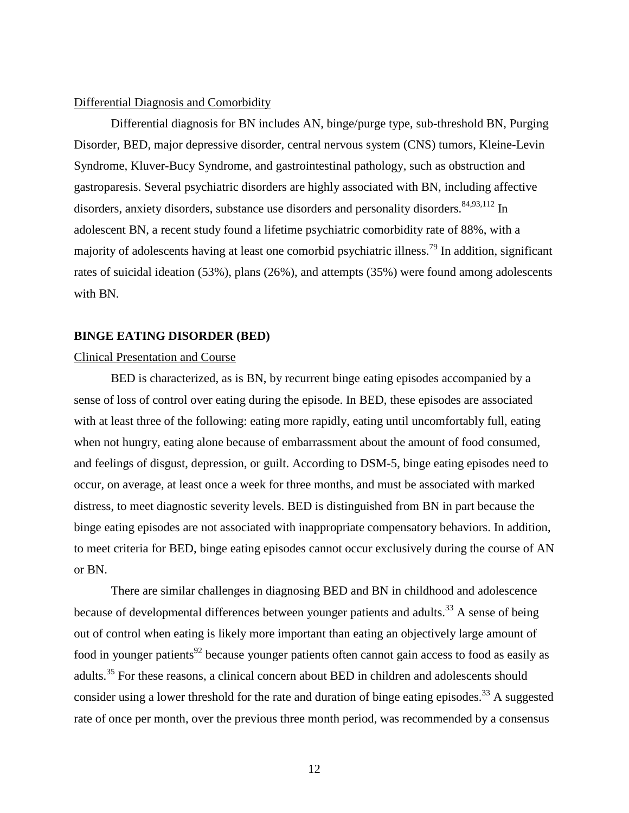## Differential Diagnosis and Comorbidity

Differential diagnosis for BN includes AN, binge/purge type, sub-threshold BN, Purging Disorder, BED, major depressive disorder, central nervous system (CNS) tumors, Kleine-Levin Syndrome, Kluver-Bucy Syndrome, and gastrointestinal pathology, such as obstruction and gastroparesis. Several psychiatric disorders are highly associated with BN, including affective disorders, anxiety disorders, substance use disorders and personality disorders.  $84,93,112$  $84,93,112$  $84,93,112$  In adolescent BN, a recent study found a lifetime psychiatric comorbidity rate of 88%, with a majority of adolescents having at least one comorbid psychiatric illness[.79](#page-31-1) In addition, significant rates of suicidal ideation (53%), plans (26%), and attempts (35%) were found among adolescents with BN.

### **BINGE EATING DISORDER (BED)**

## Clinical Presentation and Course

BED is characterized, as is BN, by recurrent binge eating episodes accompanied by a sense of loss of control over eating during the episode. In BED, these episodes are associated with at least three of the following: eating more rapidly, eating until uncomfortably full, eating when not hungry, eating alone because of embarrassment about the amount of food consumed, and feelings of disgust, depression, or guilt. According to DSM-5, binge eating episodes need to occur, on average, at least once a week for three months, and must be associated with marked distress, to meet diagnostic severity levels. BED is distinguished from BN in part because the binge eating episodes are not associated with inappropriate compensatory behaviors. In addition, to meet criteria for BED, binge eating episodes cannot occur exclusively during the course of AN or BN.

There are similar challenges in diagnosing BED and BN in childhood and adolescence because of developmental differences between younger patients and adults.<sup>33</sup> A sense of being out of control when eating is likely more important than eating an objectively large amount of food in younger patients<sup>[92](#page-31-10)</sup> because younger patients often cannot gain access to food as easily as adults.<sup>[35](#page-28-13)</sup> For these reasons, a clinical concern about BED in children and adolescents should consider using a lower threshold for the rate and duration of binge eating episodes.<sup>33</sup> A suggested rate of once per month, over the previous three month period, was recommended by a consensus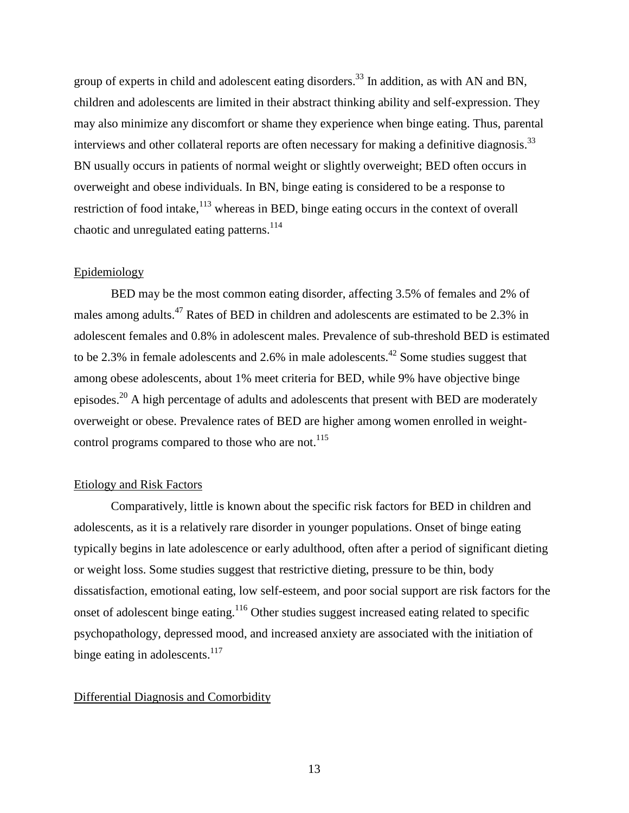group of experts in child and adolescent eating disorders.<sup>33</sup> In addition, as with AN and BN, children and adolescents are limited in their abstract thinking ability and self-expression. They may also minimize any discomfort or shame they experience when binge eating. Thus, parental interviews and other collateral reports are often necessary for making a definitive diagnosis.<sup>[33](#page-28-11)</sup> BN usually occurs in patients of normal weight or slightly overweight; BED often occurs in overweight and obese individuals. In BN, binge eating is considered to be a response to restriction of food intake,<sup>[113](#page-32-7)</sup> whereas in BED, binge eating occurs in the context of overall chaotic and unregulated eating patterns.<sup>114</sup>

## Epidemiology

BED may be the most common eating disorder, affecting 3.5% of females and 2% of males among adults.<sup>[47](#page-29-7)</sup> Rates of BED in children and adolescents are estimated to be 2.3% in adolescent females and 0.8% in adolescent males. Prevalence of sub-threshold BED is estimated to be 2.3% in female adolescents and 2.6% in male adolescents.<sup>[42](#page-29-2)</sup> Some studies suggest that among obese adolescents, about 1% meet criteria for BED, while 9% have objective binge episodes.[20](#page-27-19) A high percentage of adults and adolescents that present with BED are moderately overweight or obese. Prevalence rates of BED are higher among women enrolled in weight-control programs compared to those who are not.<sup>[115](#page-32-9)</sup>

## Etiology and Risk Factors

Comparatively, little is known about the specific risk factors for BED in children and adolescents, as it is a relatively rare disorder in younger populations. Onset of binge eating typically begins in late adolescence or early adulthood, often after a period of significant dieting or weight loss. Some studies suggest that restrictive dieting, pressure to be thin, body dissatisfaction, emotional eating, low self-esteem, and poor social support are risk factors for the onset of adolescent binge eating[.116](#page-33-0) Other studies suggest increased eating related to specific psychopathology, depressed mood, and increased anxiety are associated with the initiation of binge eating in adolescents. $117$ 

## Differential Diagnosis and Comorbidity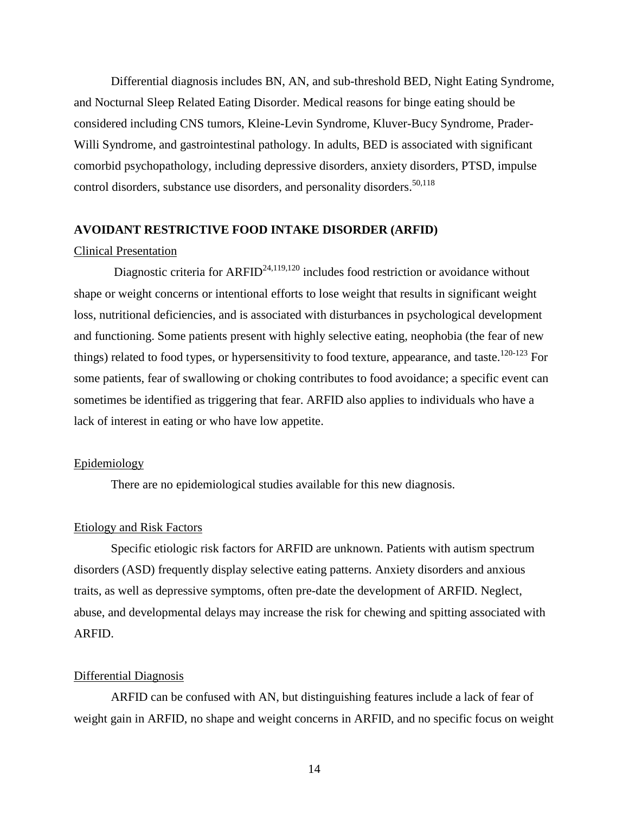Differential diagnosis includes BN, AN, and sub-threshold BED, Night Eating Syndrome, and Nocturnal Sleep Related Eating Disorder. Medical reasons for binge eating should be considered including CNS tumors, Kleine-Levin Syndrome, Kluver-Bucy Syndrome, Prader-Willi Syndrome, and gastrointestinal pathology. In adults, BED is associated with significant comorbid psychopathology, including depressive disorders, anxiety disorders, PTSD, impulse control disorders, substance use disorders, and personality disorders.<sup>[50,](#page-29-10)[118](#page-33-2)</sup>

## **AVOIDANT RESTRICTIVE FOOD INTAKE DISORDER (ARFID)**

## Clinical Presentation

Diagnostic criteria for  $ARFID^{24,119,120}$  $ARFID^{24,119,120}$  $ARFID^{24,119,120}$  $ARFID^{24,119,120}$  includes food restriction or avoidance without shape or weight concerns or intentional efforts to lose weight that results in significant weight loss, nutritional deficiencies, and is associated with disturbances in psychological development and functioning. Some patients present with highly selective eating, neophobia (the fear of new things) related to food types, or hypersensitivity to food texture, appearance, and taste.<sup>[120-123](#page-33-4)</sup> For some patients, fear of swallowing or choking contributes to food avoidance; a specific event can sometimes be identified as triggering that fear. ARFID also applies to individuals who have a lack of interest in eating or who have low appetite.

## Epidemiology

There are no epidemiological studies available for this new diagnosis.

## Etiology and Risk Factors

Specific etiologic risk factors for ARFID are unknown. Patients with autism spectrum disorders (ASD) frequently display selective eating patterns. Anxiety disorders and anxious traits, as well as depressive symptoms, often pre-date the development of ARFID. Neglect, abuse, and developmental delays may increase the risk for chewing and spitting associated with ARFID.

### Differential Diagnosis

ARFID can be confused with AN, but distinguishing features include a lack of fear of weight gain in ARFID, no shape and weight concerns in ARFID, and no specific focus on weight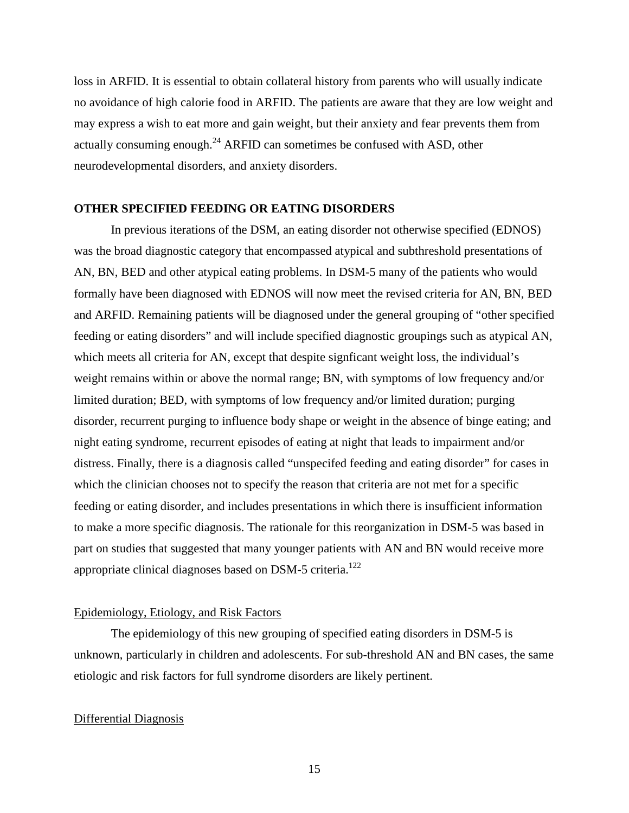loss in ARFID. It is essential to obtain collateral history from parents who will usually indicate no avoidance of high calorie food in ARFID. The patients are aware that they are low weight and may express a wish to eat more and gain weight, but their anxiety and fear prevents them from actually consuming enough.<sup>24</sup> ARFID can sometimes be confused with ASD, other neurodevelopmental disorders, and anxiety disorders.

### **OTHER SPECIFIED FEEDING OR EATING DISORDERS**

In previous iterations of the DSM, an eating disorder not otherwise specified (EDNOS) was the broad diagnostic category that encompassed atypical and subthreshold presentations of AN, BN, BED and other atypical eating problems. In DSM-5 many of the patients who would formally have been diagnosed with EDNOS will now meet the revised criteria for AN, BN, BED and ARFID. Remaining patients will be diagnosed under the general grouping of "other specified feeding or eating disorders" and will include specified diagnostic groupings such as atypical AN, which meets all criteria for AN, except that despite signficant weight loss, the individual's weight remains within or above the normal range; BN, with symptoms of low frequency and/or limited duration; BED, with symptoms of low frequency and/or limited duration; purging disorder, recurrent purging to influence body shape or weight in the absence of binge eating; and night eating syndrome, recurrent episodes of eating at night that leads to impairment and/or distress. Finally, there is a diagnosis called "unspecifed feeding and eating disorder" for cases in which the clinician chooses not to specify the reason that criteria are not met for a specific feeding or eating disorder, and includes presentations in which there is insufficient information to make a more specific diagnosis. The rationale for this reorganization in DSM-5 was based in part on studies that suggested that many younger patients with AN and BN would receive more appropriate clinical diagnoses based on DSM-5 criteria.<sup>[122](#page-33-5)</sup>

### Epidemiology, Etiology, and Risk Factors

The epidemiology of this new grouping of specified eating disorders in DSM-5 is unknown, particularly in children and adolescents. For sub-threshold AN and BN cases, the same etiologic and risk factors for full syndrome disorders are likely pertinent.

## Differential Diagnosis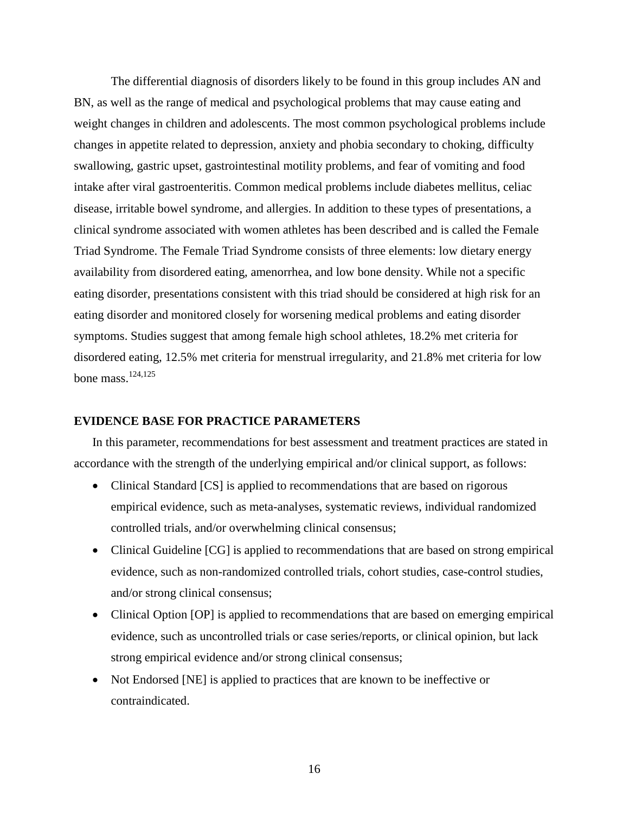The differential diagnosis of disorders likely to be found in this group includes AN and BN, as well as the range of medical and psychological problems that may cause eating and weight changes in children and adolescents. The most common psychological problems include changes in appetite related to depression, anxiety and phobia secondary to choking, difficulty swallowing, gastric upset, gastrointestinal motility problems, and fear of vomiting and food intake after viral gastroenteritis. Common medical problems include diabetes mellitus, celiac disease, irritable bowel syndrome, and allergies. In addition to these types of presentations, a clinical syndrome associated with women athletes has been described and is called the Female Triad Syndrome. The Female Triad Syndrome consists of three elements: low dietary energy availability from disordered eating, amenorrhea, and low bone density. While not a specific eating disorder, presentations consistent with this triad should be considered at high risk for an eating disorder and monitored closely for worsening medical problems and eating disorder symptoms. Studies suggest that among female high school athletes, 18.2% met criteria for disordered eating, 12.5% met criteria for menstrual irregularity, and 21.8% met criteria for low bone mass.<sup>124,[125](#page-33-7)</sup>

### **EVIDENCE BASE FOR PRACTICE PARAMETERS**

In this parameter, recommendations for best assessment and treatment practices are stated in accordance with the strength of the underlying empirical and/or clinical support, as follows:

- Clinical Standard [CS] is applied to recommendations that are based on rigorous empirical evidence, such as meta-analyses, systematic reviews, individual randomized controlled trials, and/or overwhelming clinical consensus;
- Clinical Guideline [CG] is applied to recommendations that are based on strong empirical evidence, such as non-randomized controlled trials, cohort studies, case-control studies, and/or strong clinical consensus;
- Clinical Option [OP] is applied to recommendations that are based on emerging empirical evidence, such as uncontrolled trials or case series/reports, or clinical opinion, but lack strong empirical evidence and/or strong clinical consensus;
- Not Endorsed [NE] is applied to practices that are known to be ineffective or contraindicated.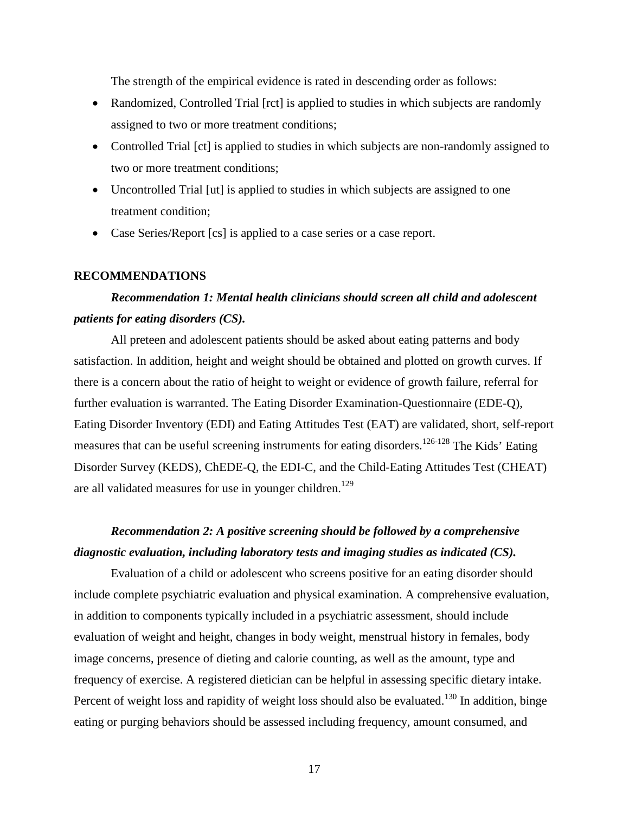The strength of the empirical evidence is rated in descending order as follows:

- Randomized, Controlled Trial [rct] is applied to studies in which subjects are randomly assigned to two or more treatment conditions;
- Controlled Trial [ct] is applied to studies in which subjects are non-randomly assigned to two or more treatment conditions;
- Uncontrolled Trial [ut] is applied to studies in which subjects are assigned to one treatment condition;
- Case Series/Report [cs] is applied to a case series or a case report.

## **RECOMMENDATIONS**

## *Recommendation 1: Mental health clinicians should screen all child and adolescent patients for eating disorders (CS).*

All preteen and adolescent patients should be asked about eating patterns and body satisfaction. In addition, height and weight should be obtained and plotted on growth curves. If there is a concern about the ratio of height to weight or evidence of growth failure, referral for further evaluation is warranted. The Eating Disorder Examination-Questionnaire (EDE-Q), Eating Disorder Inventory (EDI) and Eating Attitudes Test (EAT) are validated, short, self-report measures that can be useful screening instruments for eating disorders.<sup>[126-128](#page-33-8)</sup> The Kids' Eating Disorder Survey (KEDS), ChEDE-Q, the EDI-C, and the Child-Eating Attitudes Test (CHEAT) are all validated measures for use in younger children.<sup>129</sup>

## *Recommendation 2: A positive screening should be followed by a comprehensive diagnostic evaluation, including laboratory tests and imaging studies as indicated (CS).*

Evaluation of a child or adolescent who screens positive for an eating disorder should include complete psychiatric evaluation and physical examination. A comprehensive evaluation, in addition to components typically included in a psychiatric assessment, should include evaluation of weight and height, changes in body weight, menstrual history in females, body image concerns, presence of dieting and calorie counting, as well as the amount, type and frequency of exercise. A registered dietician can be helpful in assessing specific dietary intake. Percent of weight loss and rapidity of weight loss should also be evaluated.<sup>[130](#page-33-10)</sup> In addition, binge eating or purging behaviors should be assessed including frequency, amount consumed, and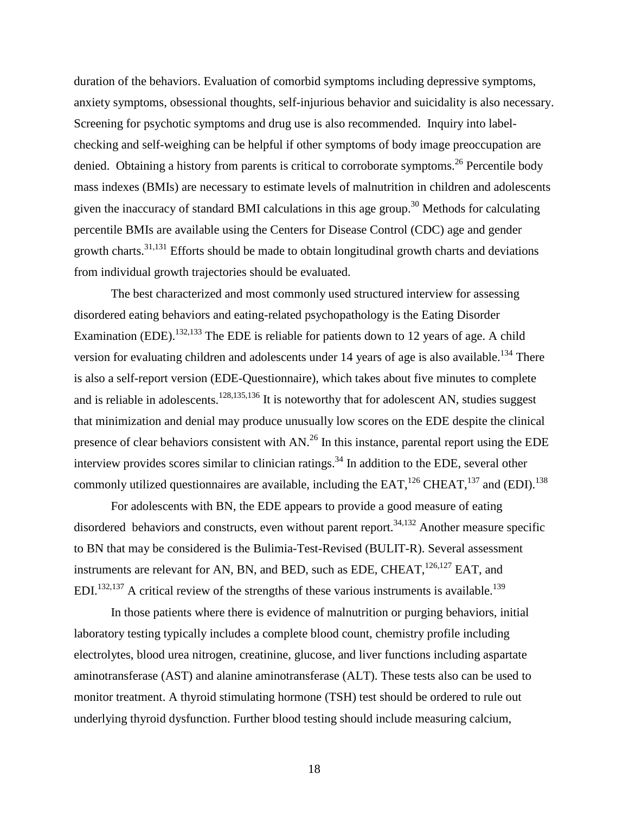duration of the behaviors. Evaluation of comorbid symptoms including depressive symptoms, anxiety symptoms, obsessional thoughts, self-injurious behavior and suicidality is also necessary. Screening for psychotic symptoms and drug use is also recommended. Inquiry into labelchecking and self-weighing can be helpful if other symptoms of body image preoccupation are denied. Obtaining a history from parents is critical to corroborate symptoms.<sup>26</sup> Percentile body mass indexes (BMIs) are necessary to estimate levels of malnutrition in children and adolescents given the inaccuracy of standard BMI calculations in this age group.<sup>30</sup> Methods for calculating percentile BMIs are available using the Centers for Disease Control (CDC) age and gender growth charts[.31,](#page-28-9)[131](#page-33-11) Efforts should be made to obtain longitudinal growth charts and deviations from individual growth trajectories should be evaluated.

The best characterized and most commonly used structured interview for assessing disordered eating behaviors and eating-related psychopathology is the Eating Disorder Examination (EDE).<sup>[132,](#page-33-12)[133](#page-33-13)</sup> The EDE is reliable for patients down to 12 years of age. A child version for evaluating children and adolescents under 14 years of age is also available.<sup>[134](#page-33-14)</sup> There is also a self-report version (EDE-Questionnaire), which takes about five minutes to complete and is reliable in adolescents.<sup>128[,135](#page-33-16)[,136](#page-33-17)</sup> It is noteworthy that for adolescent AN, studies suggest that minimization and denial may produce unusually low scores on the EDE despite the clinical presence of clear behaviors consistent with AN.<sup>26</sup> In this instance, parental report using the EDE interview provides scores similar to clinician ratings.<sup>[34](#page-28-12)</sup> In addition to the EDE, several other commonly utilized questionnaires are available, including the EAT,  $^{126}$  CHEAT,  $^{137}$  $^{137}$  $^{137}$  and (EDI).  $^{138}$  $^{138}$  $^{138}$ 

For adolescents with BN, the EDE appears to provide a good measure of eating disordered behaviors and constructs, even without parent report.<sup>34[,132](#page-33-12)</sup> Another measure specific to BN that may be considered is the Bulimia-Test-Revised (BULIT-R). Several assessment instruments are relevant for AN, BN, and BED, such as EDE, CHEAT,  $^{126,127}$  $^{126,127}$  $^{126,127}$  $^{126,127}$  EAT, and EDI.<sup>132[,137](#page-34-0)</sup> A critical review of the strengths of these various instruments is available.<sup>139</sup>

In those patients where there is evidence of malnutrition or purging behaviors, initial laboratory testing typically includes a complete blood count, chemistry profile including electrolytes, blood urea nitrogen, creatinine, glucose, and liver functions including aspartate aminotransferase (AST) and alanine aminotransferase (ALT). These tests also can be used to monitor treatment. A thyroid stimulating hormone (TSH) test should be ordered to rule out underlying thyroid dysfunction. Further blood testing should include measuring calcium,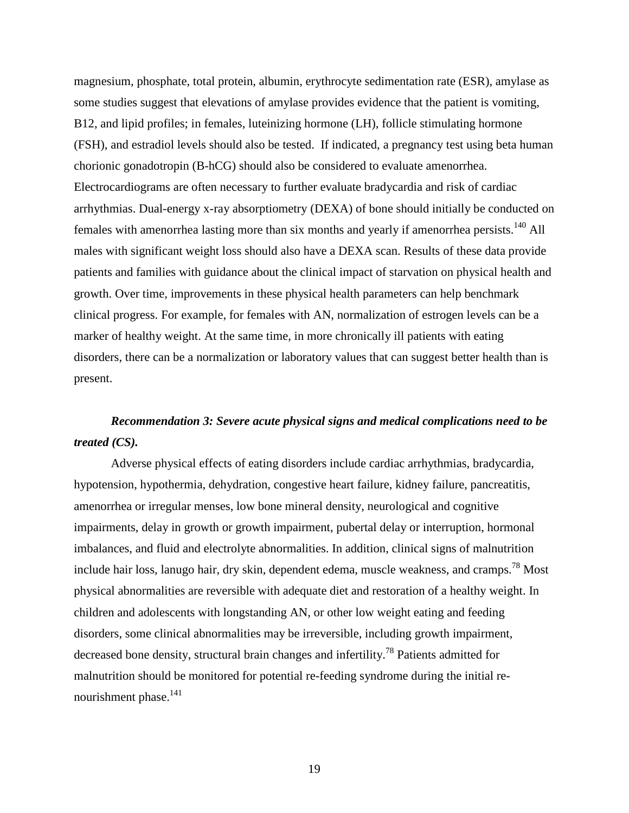magnesium, phosphate, total protein, albumin, erythrocyte sedimentation rate (ESR), amylase as some studies suggest that elevations of amylase provides evidence that the patient is vomiting, B12, and lipid profiles; in females, luteinizing hormone (LH), follicle stimulating hormone (FSH), and estradiol levels should also be tested. If indicated, a pregnancy test using beta human chorionic gonadotropin (B-hCG) should also be considered to evaluate amenorrhea. Electrocardiograms are often necessary to further evaluate bradycardia and risk of cardiac arrhythmias. Dual-energy x-ray absorptiometry (DEXA) of bone should initially be conducted on females with amenorrhea lasting more than six months and yearly if amenorrhea persists.<sup>[140](#page-34-3)</sup> All males with significant weight loss should also have a DEXA scan. Results of these data provide patients and families with guidance about the clinical impact of starvation on physical health and growth. Over time, improvements in these physical health parameters can help benchmark clinical progress. For example, for females with AN, normalization of estrogen levels can be a marker of healthy weight. At the same time, in more chronically ill patients with eating disorders, there can be a normalization or laboratory values that can suggest better health than is present.

## *Recommendation 3: Severe acute physical signs and medical complications need to be treated (CS).*

Adverse physical effects of eating disorders include cardiac arrhythmias, bradycardia, hypotension, hypothermia, dehydration, congestive heart failure, kidney failure, pancreatitis, amenorrhea or irregular menses, low bone mineral density, neurological and cognitive impairments, delay in growth or growth impairment, pubertal delay or interruption, hormonal imbalances, and fluid and electrolyte abnormalities. In addition, clinical signs of malnutrition include hair loss, lanugo hair, dry skin, dependent edema, muscle weakness, and cramps.<sup>[78](#page-31-0)</sup> Most physical abnormalities are reversible with adequate diet and restoration of a healthy weight. In children and adolescents with longstanding AN, or other low weight eating and feeding disorders, some clinical abnormalities may be irreversible, including growth impairment, decreased bone density, structural brain changes and infertility[.78](#page-31-0) Patients admitted for malnutrition should be monitored for potential re-feeding syndrome during the initial renourishment phase.<sup>141</sup>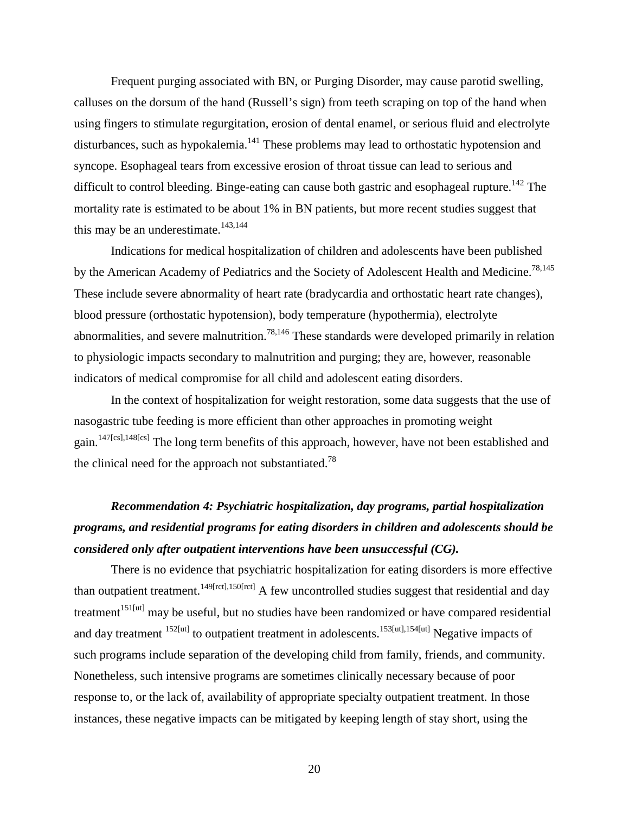Frequent purging associated with BN, or Purging Disorder, may cause parotid swelling, calluses on the dorsum of the hand (Russell's sign) from teeth scraping on top of the hand when using fingers to stimulate regurgitation, erosion of dental enamel, or serious fluid and electrolyte disturbances, such as hypokalemia.<sup>[141](#page-34-4)</sup> These problems may lead to orthostatic hypotension and syncope. Esophageal tears from excessive erosion of throat tissue can lead to serious and difficult to control bleeding. Binge-eating can cause both gastric and esophageal rupture.<sup>142</sup> The mortality rate is estimated to be about 1% in BN patients, but more recent studies suggest that this may be an underestimate. $143,144$  $143,144$ 

Indications for medical hospitalization of children and adolescents have been published by the American Academy of Pediatrics and the Society of Adolescent Health and Medicine.<sup>78,[145](#page-34-8)</sup> These include severe abnormality of heart rate (bradycardia and orthostatic heart rate changes), blood pressure (orthostatic hypotension), body temperature (hypothermia), electrolyte abnormalities, and severe malnutrition.<sup>[78,](#page-31-0)[146](#page-34-9)</sup> These standards were developed primarily in relation to physiologic impacts secondary to malnutrition and purging; they are, however, reasonable indicators of medical compromise for all child and adolescent eating disorders.

In the context of hospitalization for weight restoration, some data suggests that the use of nasogastric tube feeding is more efficient than other approaches in promoting weight gain[.147\[](#page-34-10)cs[\],148\[](#page-34-11)cs] The long term benefits of this approach, however, have not been established and the clinical need for the approach not substantiated.<sup>78</sup>

# *Recommendation 4: Psychiatric hospitalization, day programs, partial hospitalization programs, and residential programs for eating disorders in children and adolescents should be considered only after outpatient interventions have been unsuccessful (CG).*

There is no evidence that psychiatric hospitalization for eating disorders is more effective than outpatient treatment.<sup>[149\[](#page-34-12)rct[\],150\[](#page-34-13)rct]</sup> A few uncontrolled studies suggest that residential and day treatment<sup>[151\[u](#page-34-14)t]</sup> may be useful, but no studies have been randomized or have compared residential and day treatment <sup>[152\[](#page-34-15)ut]</sup> to outpatient treatment in adolescents.<sup>[153\[](#page-34-16)ut[\],154\[u](#page-34-17)t]</sup> Negative impacts of such programs include separation of the developing child from family, friends, and community. Nonetheless, such intensive programs are sometimes clinically necessary because of poor response to, or the lack of, availability of appropriate specialty outpatient treatment. In those instances, these negative impacts can be mitigated by keeping length of stay short, using the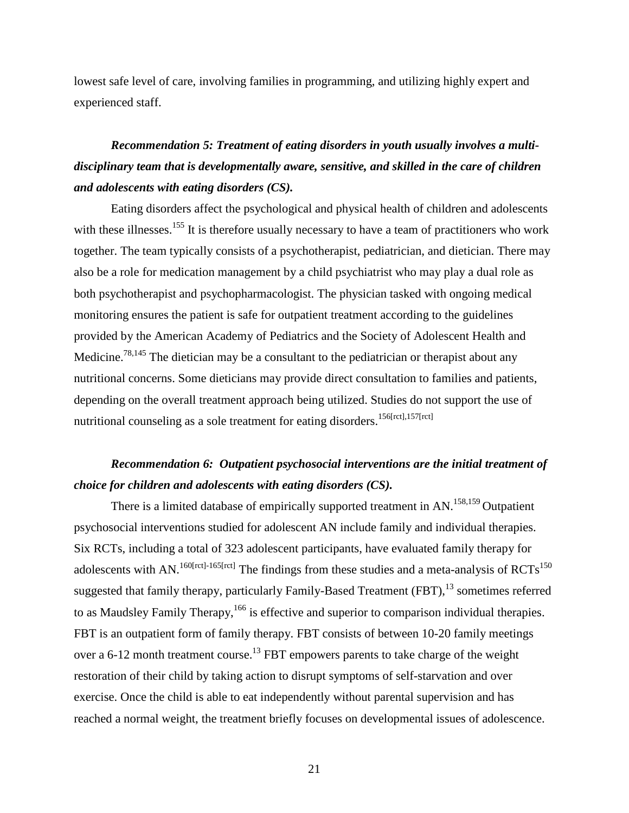lowest safe level of care, involving families in programming, and utilizing highly expert and experienced staff.

# *Recommendation 5: Treatment of eating disorders in youth usually involves a multidisciplinary team that is developmentally aware, sensitive, and skilled in the care of children and adolescents with eating disorders (CS).*

Eating disorders affect the psychological and physical health of children and adolescents with these illnesses.<sup>[155](#page-34-18)</sup> It is therefore usually necessary to have a team of practitioners who work together. The team typically consists of a psychotherapist, pediatrician, and dietician. There may also be a role for medication management by a child psychiatrist who may play a dual role as both psychotherapist and psychopharmacologist. The physician tasked with ongoing medical monitoring ensures the patient is safe for outpatient treatment according to the guidelines provided by the American Academy of Pediatrics and the Society of Adolescent Health and Medicine.<sup>[78,](#page-31-0)[145](#page-34-8)</sup> The dietician may be a consultant to the pediatrician or therapist about any nutritional concerns. Some dieticians may provide direct consultation to families and patients, depending on the overall treatment approach being utilized. Studies do not support the use of nutritional counseling as a sole treatment for eating disorders.<sup>[156\[](#page-34-19)rct][,157\[](#page-35-0)rct]</sup>

## *Recommendation 6: Outpatient psychosocial interventions are the initial treatment of choice for children and adolescents with eating disorders (CS).*

There is a limited database of empirically supported treatment in AN.<sup>158,[159](#page-35-2)</sup> Outpatient psychosocial interventions studied for adolescent AN include family and individual therapies. Six RCTs, including a total of 323 adolescent participants, have evaluated family therapy for adolescents with AN.<sup>160[rct]-165[rct]</sup> The findings from these studies and a meta-analysis of  $RCTs$ <sup>150</sup> suggested that family therapy, particularly Family-Based Treatment (FBT),<sup>[13](#page-27-12)</sup> sometimes referred to as Maudsley Family Therapy,<sup>166</sup> is effective and superior to comparison individual therapies. FBT is an outpatient form of family therapy. FBT consists of between 10-20 family meetings over a 6-12 month treatment course.<sup>[13](#page-27-12)</sup> FBT empowers parents to take charge of the weight restoration of their child by taking action to disrupt symptoms of self-starvation and over exercise. Once the child is able to eat independently without parental supervision and has reached a normal weight, the treatment briefly focuses on developmental issues of adolescence.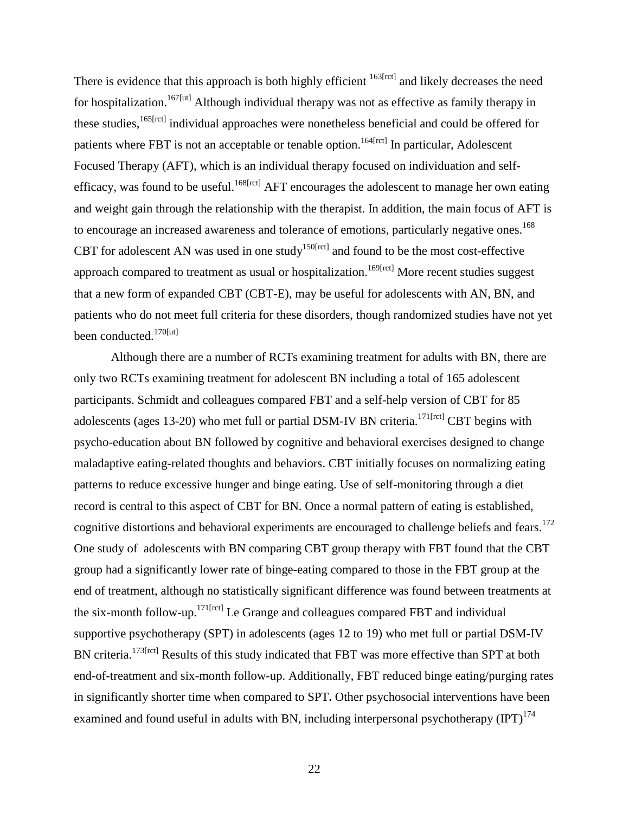There is evidence that this approach is both highly efficient <sup>163[rct]</sup> and likely decreases the need for hospitalization.<sup>[167\[](#page-35-5)ut]</sup> Although individual therapy was not as effective as family therapy in these studies,<sup>165[rct]</sup> individual approaches were nonetheless beneficial and could be offered for patients where FBT is not an acceptable or tenable option.<sup>[164\[](#page-35-7)rct]</sup> In particular, Adolescent Focused Therapy (AFT), which is an individual therapy focused on individuation and self-efficacy, was found to be useful.<sup>[168\[](#page-35-8)rct]</sup> AFT encourages the adolescent to manage her own eating and weight gain through the relationship with the therapist. In addition, the main focus of AFT is to encourage an increased awareness and tolerance of emotions, particularly negative ones.<sup>[168](#page-35-8)</sup> CBT for adolescent AN was used in one study<sup>150[rct]</sup> and found to be the most cost-effective approach compared to treatment as usual or hospitalization.<sup>169[rct]</sup> More recent studies suggest that a new form of expanded CBT (CBT-E), may be useful for adolescents with AN, BN, and patients who do not meet full criteria for these disorders, though randomized studies have not yet been conducted.<sup>[170\[](#page-35-10)ut]</sup>

Although there are a number of RCTs examining treatment for adults with BN, there are only two RCTs examining treatment for adolescent BN including a total of 165 adolescent participants. Schmidt and colleagues compared FBT and a self-help version of CBT for 85 adolescents (ages 13-20) who met full or partial DSM-IV BN criteria.<sup>171[rct]</sup> CBT begins with psycho-education about BN followed by cognitive and behavioral exercises designed to change maladaptive eating-related thoughts and behaviors. CBT initially focuses on normalizing eating patterns to reduce excessive hunger and binge eating. Use of self-monitoring through a diet record is central to this aspect of CBT for BN. Once a normal pattern of eating is established, cognitive distortions and behavioral experiments are encouraged to challenge beliefs and fears.<sup>172</sup> One study of adolescents with BN comparing CBT group therapy with FBT found that the CBT group had a significantly lower rate of binge-eating compared to those in the FBT group at the end of treatment, although no statistically significant difference was found between treatments at the six-month follow-up.<sup>171[rct]</sup> Le Grange and colleagues compared FBT and individual supportive psychotherapy (SPT) in adolescents (ages 12 to 19) who met full or partial DSM-IV BN criteria.<sup>[173\[](#page-35-13)rct]</sup> Results of this study indicated that FBT was more effective than SPT at both end-of-treatment and six-month follow-up. Additionally, FBT reduced binge eating/purging rates in significantly shorter time when compared to SPT**.** Other psychosocial interventions have been examined and found useful in adults with BN, including interpersonal psychotherapy  $(IPT)^{174}$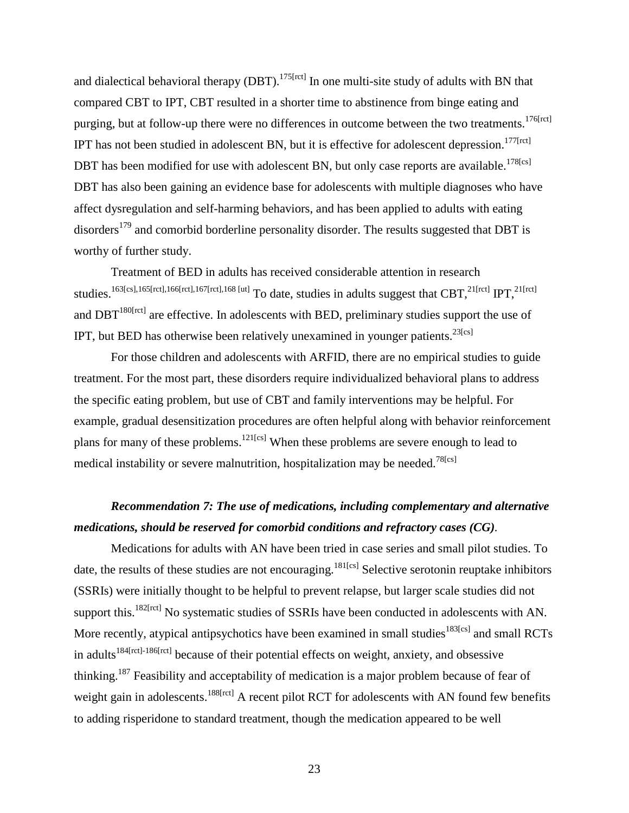and dialectical behavioral therapy (DBT).<sup>175[rct]</sup> In one multi-site study of adults with BN that compared CBT to IPT, CBT resulted in a shorter time to abstinence from binge eating and purging, but at follow-up there were no differences in outcome between the two treatments.<sup>176[rct]</sup> IPT has not been studied in adolescent BN, but it is effective for adolescent depression.<sup>177[rct]</sup> DBT has been modified for use with adolescent BN, but only case reports are available.<sup>178[cs]</sup> DBT has also been gaining an evidence base for adolescents with multiple diagnoses who have affect dysregulation and self-harming behaviors, and has been applied to adults with eating disorders<sup>[179](#page-36-4)</sup> and comorbid borderline personality disorder. The results suggested that DBT is worthy of further study.

Treatment of BED in adults has received considerable attention in research studies.<sup>163[cs],165[rct],166[rct],167[rct],168 [ut]</sup> To date, studies in adults suggest that CBT,<sup>21[rct]</sup> IPT,<sup>21[rct]</sup> and  $DBT<sup>180[ret]</sup>$  are effective. In adolescents with BED, preliminary studies support the use of IPT, but BED has otherwise been relatively unexamined in younger patients.<sup>23[cs]</sup>

For those children and adolescents with ARFID, there are no empirical studies to guide treatment. For the most part, these disorders require individualized behavioral plans to address the specific eating problem, but use of CBT and family interventions may be helpful. For example, gradual desensitization procedures are often helpful along with behavior reinforcement plans for many of these problems.<sup>121[cs]</sup> When these problems are severe enough to lead to medical instability or severe malnutrition, hospitalization may be needed.<sup>78[cs]</sup>

## *Recommendation 7: The use of medications, including complementary and alternative medications, should be reserved for comorbid conditions and refractory cases (CG).*

Medications for adults with AN have been tried in case series and small pilot studies. To date, the results of these studies are not encouraging.<sup>[181\[](#page-36-6)cs]</sup> Selective serotonin reuptake inhibitors (SSRIs) were initially thought to be helpful to prevent relapse, but larger scale studies did not support this.<sup>182[rct]</sup> No systematic studies of SSRIs have been conducted in adolescents with AN. More recently, atypical antipsychotics have been examined in small studies<sup>[183\[](#page-36-8)cs]</sup> and small RCTs in adults<sup>[184\[rct\]-186\[rct\]](#page-36-9)</sup> because of their potential effects on weight, anxiety, and obsessive thinking.<sup>187</sup> Feasibility and acceptability of medication is a major problem because of fear of weight gain in adolescents.<sup>[188\[](#page-36-11)rct]</sup> A recent pilot RCT for adolescents with AN found few benefits to adding risperidone to standard treatment, though the medication appeared to be well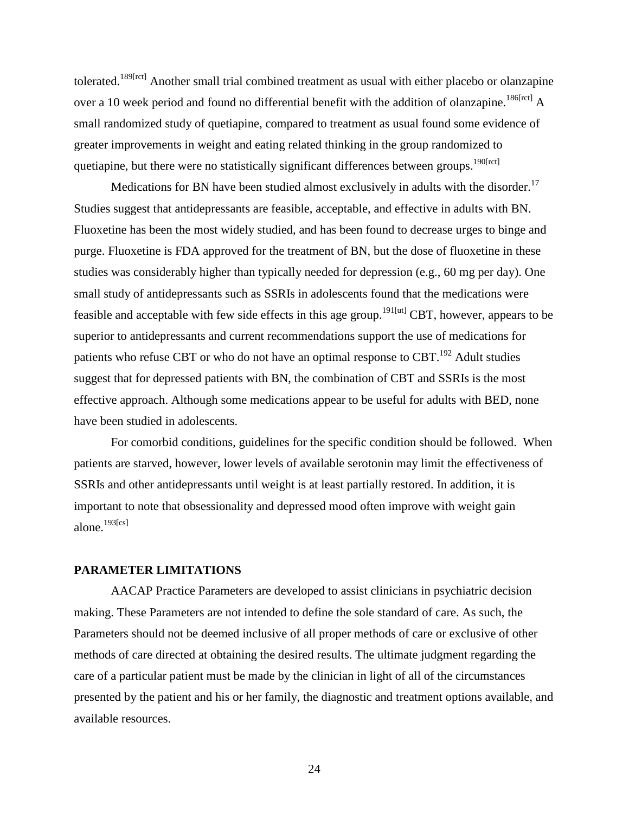tolerated.<sup>189[rct]</sup> Another small trial combined treatment as usual with either placebo or olanzapine over a 10 week period and found no differential benefit with the addition of olanzapine.<sup>186[rct]</sup> A small randomized study of quetiapine, compared to treatment as usual found some evidence of greater improvements in weight and eating related thinking in the group randomized to quetiapine, but there were no statistically significant differences between groups.<sup>190[rct]</sup>

Medications for BN have been studied almost exclusively in adults with the disorder.<sup>17</sup> Studies suggest that antidepressants are feasible, acceptable, and effective in adults with BN. Fluoxetine has been the most widely studied, and has been found to decrease urges to binge and purge. Fluoxetine is FDA approved for the treatment of BN, but the dose of fluoxetine in these studies was considerably higher than typically needed for depression (e.g., 60 mg per day). One small study of antidepressants such as SSRIs in adolescents found that the medications were feasible and acceptable with few side effects in this age group[.191\[](#page-36-15)ut] CBT, however, appears to be superior to antidepressants and current recommendations support the use of medications for patients who refuse CBT or who do not have an optimal response to CBT.<sup>192</sup> Adult studies suggest that for depressed patients with BN, the combination of CBT and SSRIs is the most effective approach. Although some medications appear to be useful for adults with BED, none have been studied in adolescents.

For comorbid conditions, guidelines for the specific condition should be followed. When patients are starved, however, lower levels of available serotonin may limit the effectiveness of SSRIs and other antidepressants until weight is at least partially restored. In addition, it is important to note that obsessionality and depressed mood often improve with weight gain alone[.193\[](#page-37-1)cs]

## **PARAMETER LIMITATIONS**

AACAP Practice Parameters are developed to assist clinicians in psychiatric decision making. These Parameters are not intended to define the sole standard of care. As such, the Parameters should not be deemed inclusive of all proper methods of care or exclusive of other methods of care directed at obtaining the desired results. The ultimate judgment regarding the care of a particular patient must be made by the clinician in light of all of the circumstances presented by the patient and his or her family, the diagnostic and treatment options available, and available resources.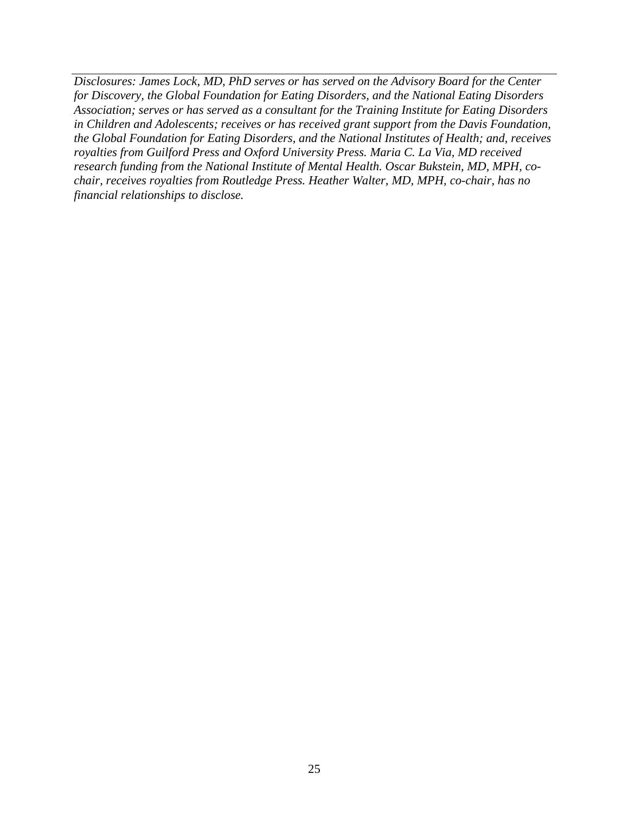*Disclosures: James Lock, MD, PhD serves or has served on the Advisory Board for the Center for Discovery, the Global Foundation for Eating Disorders, and the National Eating Disorders Association; serves or has served as a consultant for the Training Institute for Eating Disorders in Children and Adolescents; receives or has received grant support from the Davis Foundation, the Global Foundation for Eating Disorders, and the National Institutes of Health; and, receives royalties from Guilford Press and Oxford University Press. Maria C. La Via, MD received research funding from the National Institute of Mental Health. Oscar Bukstein, MD, MPH, cochair, receives royalties from Routledge Press. Heather Walter, MD, MPH, co-chair, has no financial relationships to disclose.*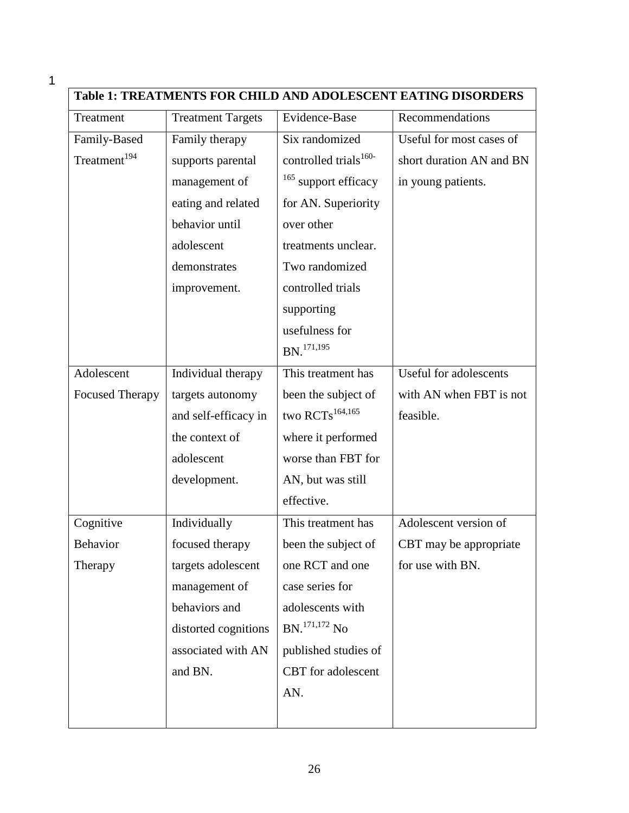| Table 1: TREATMENTS FOR CHILD AND ADOLESCENT EATING DISORDERS |                          |                                   |                          |
|---------------------------------------------------------------|--------------------------|-----------------------------------|--------------------------|
| Treatment                                                     | <b>Treatment Targets</b> | Evidence-Base                     | Recommendations          |
| Family-Based                                                  | Family therapy           | Six randomized                    | Useful for most cases of |
| Treatment <sup>194</sup>                                      | supports parental        | controlled trials <sup>160-</sup> | short duration AN and BN |
|                                                               | management of            | <sup>165</sup> support efficacy   | in young patients.       |
|                                                               | eating and related       | for AN. Superiority               |                          |
|                                                               | behavior until           | over other                        |                          |
|                                                               | adolescent               | treatments unclear.               |                          |
|                                                               | demonstrates             | Two randomized                    |                          |
|                                                               | improvement.             | controlled trials                 |                          |
|                                                               |                          | supporting                        |                          |
|                                                               |                          | usefulness for                    |                          |
|                                                               |                          | $BN.$ <sup>171,195</sup>          |                          |
| Adolescent                                                    | Individual therapy       | This treatment has                | Useful for adolescents   |
| <b>Focused Therapy</b>                                        | targets autonomy         | been the subject of               | with AN when FBT is not  |
|                                                               | and self-efficacy in     | two $\text{RCTs}^{164,165}$       | feasible.                |
|                                                               | the context of           | where it performed                |                          |
|                                                               | adolescent               | worse than FBT for                |                          |
|                                                               | development.             | AN, but was still                 |                          |
|                                                               |                          | effective.                        |                          |
| Cognitive                                                     | Individually             | This treatment has                | Adolescent version of    |
| <b>Behavior</b>                                               | focused therapy          | been the subject of               | CBT may be appropriate   |
| Therapy                                                       | targets adolescent       | one RCT and one                   | for use with BN.         |
|                                                               | management of            | case series for                   |                          |
|                                                               | behaviors and            | adolescents with                  |                          |
|                                                               | distorted cognitions     | BN. <sup>171,172</sup> No         |                          |
|                                                               | associated with AN       | published studies of              |                          |
|                                                               | and BN.                  | CBT for adolescent                |                          |
|                                                               |                          | AN.                               |                          |
|                                                               |                          |                                   |                          |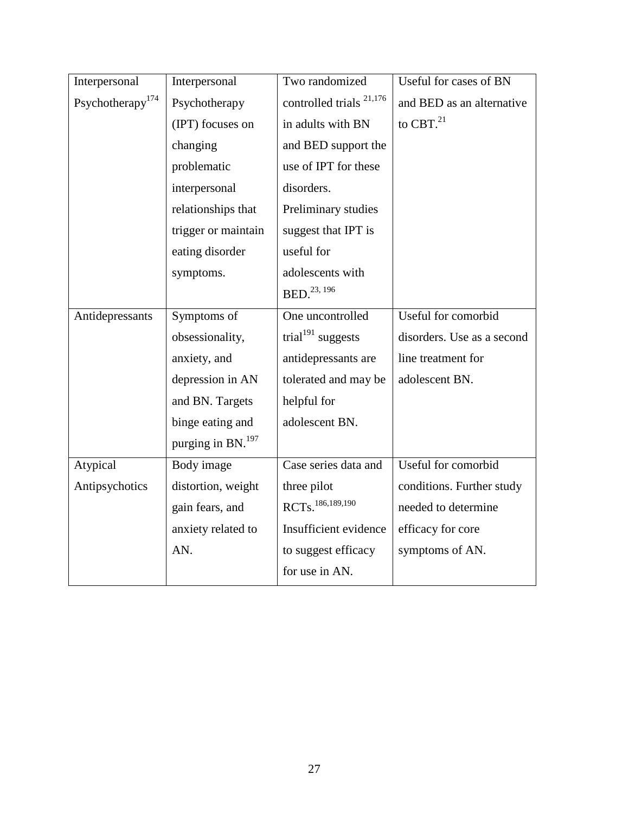| Interpersonal       | Interpersonal          | Two randomized                      | Useful for cases of BN     |
|---------------------|------------------------|-------------------------------------|----------------------------|
| Psychotherapy $174$ | Psychotherapy          | controlled trials <sup>21,176</sup> | and BED as an alternative  |
|                     | (IPT) focuses on       | in adults with BN                   | to CBT. $^{21}$            |
|                     | changing               | and BED support the                 |                            |
|                     | problematic            | use of IPT for these                |                            |
|                     | interpersonal          | disorders.                          |                            |
|                     | relationships that     | Preliminary studies                 |                            |
|                     | trigger or maintain    | suggest that IPT is                 |                            |
|                     | eating disorder        | useful for                          |                            |
|                     | symptoms.              | adolescents with                    |                            |
|                     |                        | BED. <sup>23, 196</sup>             |                            |
| Antidepressants     | Symptoms of            | One uncontrolled                    | Useful for comorbid        |
|                     | obsessionality,        | trial <sup>191</sup> suggests       | disorders. Use as a second |
|                     | anxiety, and           | antidepressants are                 | line treatment for         |
|                     | depression in AN       | tolerated and may be                | adolescent BN.             |
|                     | and BN. Targets        | helpful for                         |                            |
|                     | binge eating and       | adolescent BN.                      |                            |
|                     | purging in $BN.^{197}$ |                                     |                            |
| Atypical            | Body image             | Case series data and                | Useful for comorbid        |
| Antipsychotics      | distortion, weight     | three pilot                         | conditions. Further study  |
|                     | gain fears, and        | RCTs. 186, 189, 190                 | needed to determine        |
|                     | anxiety related to     | Insufficient evidence               | efficacy for core          |
|                     | AN.                    | to suggest efficacy                 | symptoms of AN.            |
|                     |                        | for use in AN.                      |                            |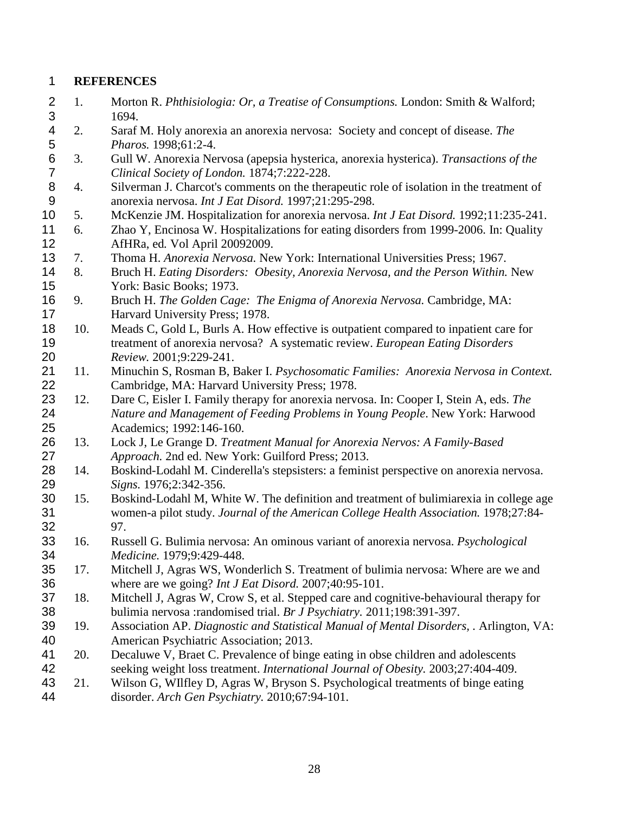## **REFERENCES**

- <span id="page-27-0"></span> 1. Morton R. *Phthisiologia: Or, a Treatise of Consumptions.* London: Smith & Walford; 3 1694.<br>4 2. Saraf
- <span id="page-27-1"></span> 2. Saraf M. Holy anorexia an anorexia nervosa: Society and concept of disease. *The Pharos.* 1998;61:2-4.
- <span id="page-27-2"></span> 3. Gull W. Anorexia Nervosa (apepsia hysterica, anorexia hysterica). *Transactions of the Clinical Society of London.* 1874;7:222-228.
- <span id="page-27-3"></span> 4. Silverman J. Charcot's comments on the therapeutic role of isolation in the treatment of anorexia nervosa. *Int J Eat Disord.* 1997;21:295-298.
- <span id="page-27-4"></span>5. McKenzie JM. Hospitalization for anorexia nervosa. *Int J Eat Disord.* 1992;11:235-241.
- <span id="page-27-5"></span> 6. Zhao Y, Encinosa W. Hospitalizations for eating disorders from 1999-2006. In: Quality AfHRa, ed*.* Vol April 20092009.
- <span id="page-27-6"></span>7. Thoma H. *Anorexia Nervosa.* New York: International Universities Press; 1967.
- <span id="page-27-7"></span> 8. Bruch H. *Eating Disorders: Obesity, Anorexia Nervosa, and the Person Within.* New York: Basic Books; 1973.
- <span id="page-27-8"></span> 9. Bruch H. *The Golden Cage: The Enigma of Anorexia Nervosa.* Cambridge, MA: Harvard University Press; 1978.
- <span id="page-27-9"></span> 10. Meads C, Gold L, Burls A. How effective is outpatient compared to inpatient care for treatment of anorexia nervosa? A systematic review. *European Eating Disorders Review.* 2001;9:229-241.
- <span id="page-27-10"></span> 11. Minuchin S, Rosman B, Baker I. *Psychosomatic Families: Anorexia Nervosa in Context.* Cambridge, MA: Harvard University Press; 1978.
- <span id="page-27-11"></span> 12. Dare C, Eisler I. Family therapy for anorexia nervosa. In: Cooper I, Stein A, eds. *The Nature and Management of Feeding Problems in Young People*. New York: Harwood Academics; 1992:146-160.
- <span id="page-27-12"></span> 13. Lock J, Le Grange D. *Treatment Manual for Anorexia Nervos: A Family-Based Approach.* 2nd ed. New York: Guilford Press; 2013.
- <span id="page-27-13"></span> 14. Boskind-Lodahl M. Cinderella's stepsisters: a feminist perspective on anorexia nervosa. *Signs.* 1976;2:342-356.
- <span id="page-27-14"></span> 15. Boskind-Lodahl M, White W. The definition and treatment of bulimiarexia in college age women-a pilot study. *Journal of the American College Health Association.* 1978;27:84- 97.
- <span id="page-27-15"></span> 16. Russell G. Bulimia nervosa: An ominous variant of anorexia nervosa. *Psychological Medicine.* 1979;9:429-448.
- <span id="page-27-16"></span> 17. Mitchell J, Agras WS, Wonderlich S. Treatment of bulimia nervosa: Where are we and where are we going? *Int J Eat Disord.* 2007;40:95-101.
- <span id="page-27-17"></span> 18. Mitchell J, Agras W, Crow S, et al. Stepped care and cognitive-behavioural therapy for bulimia nervosa :randomised trial. *Br J Psychiatry.* 2011;198:391-397.
- <span id="page-27-18"></span> 19. Association AP. *Diagnostic and Statistical Manual of Mental Disorders, .* Arlington, VA: American Psychiatric Association; 2013.
- <span id="page-27-19"></span> 20. Decaluwe V, Braet C. Prevalence of binge eating in obse children and adolescents seeking weight loss treatment. *International Journal of Obesity.* 2003;27:404-409.
- <span id="page-27-20"></span> 21. Wilson G, WIlfley D, Agras W, Bryson S. Psychological treatments of binge eating disorder. *Arch Gen Psychiatry.* 2010;67:94-101.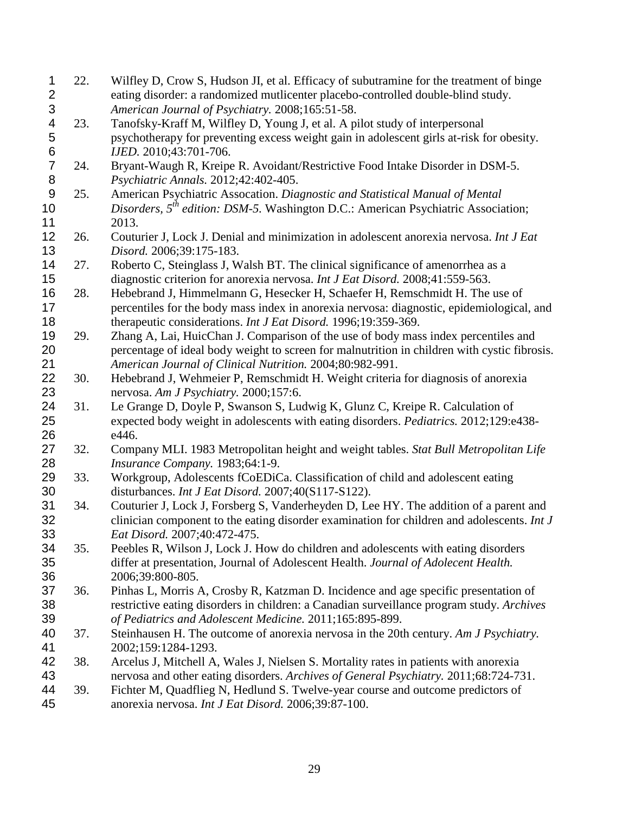<span id="page-28-17"></span><span id="page-28-16"></span><span id="page-28-15"></span><span id="page-28-14"></span><span id="page-28-13"></span><span id="page-28-12"></span><span id="page-28-11"></span><span id="page-28-10"></span><span id="page-28-9"></span><span id="page-28-8"></span><span id="page-28-7"></span><span id="page-28-6"></span><span id="page-28-5"></span><span id="page-28-4"></span><span id="page-28-3"></span><span id="page-28-2"></span><span id="page-28-1"></span><span id="page-28-0"></span>

| $\mathbf{1}$     | 22. | Wilfley D, Crow S, Hudson JI, et al. Efficacy of subutramine for the treatment of binge                                   |
|------------------|-----|---------------------------------------------------------------------------------------------------------------------------|
| $\overline{2}$   |     | eating disorder: a randomized mutlicenter placebo-controlled double-blind study.                                          |
| 3                |     | American Journal of Psychiatry. 2008;165:51-58.                                                                           |
| 4                | 23. | Tanofsky-Kraff M, Wilfley D, Young J, et al. A pilot study of interpersonal                                               |
| 5                |     | psychotherapy for preventing excess weight gain in adolescent girls at-risk for obesity.                                  |
| $\boldsymbol{6}$ |     | IJED. 2010;43:701-706.                                                                                                    |
| $\overline{7}$   | 24. | Bryant-Waugh R, Kreipe R. Avoidant/Restrictive Food Intake Disorder in DSM-5.                                             |
| 8                |     | Psychiatric Annals. 2012;42:402-405.                                                                                      |
| $\boldsymbol{9}$ | 25. | American Psychiatric Assocation. Diagnostic and Statistical Manual of Mental                                              |
| 10               |     | Disorders, $5^{th}$ edition: DSM-5. Washington D.C.: American Psychiatric Association;                                    |
| 11               |     | 2013.                                                                                                                     |
| 12               | 26. | Couturier J, Lock J. Denial and minimization in adolescent anorexia nervosa. Int J Eat                                    |
| 13               |     | Disord. 2006;39:175-183.                                                                                                  |
| 14               | 27. | Roberto C, Steinglass J, Walsh BT. The clinical significance of amenorrhea as a                                           |
| 15               |     | diagnostic criterion for anorexia nervosa. Int J Eat Disord. 2008;41:559-563.                                             |
| 16               | 28. | Hebebrand J, Himmelmann G, Hesecker H, Schaefer H, Remschmidt H. The use of                                               |
| 17               |     | percentiles for the body mass index in anorexia nervosa: diagnostic, epidemiological, and                                 |
| 18               |     | therapeutic considerations. Int J Eat Disord. 1996;19:359-369.                                                            |
| 19               | 29. | Zhang A, Lai, HuicChan J. Comparison of the use of body mass index percentiles and                                        |
| 20               |     | percentage of ideal body weight to screen for malnutrition in children with cystic fibrosis.                              |
| 21               |     | American Journal of Clinical Nutrition. 2004;80:982-991.                                                                  |
| 22               | 30. |                                                                                                                           |
| 23               |     | Hebebrand J, Wehmeier P, Remschmidt H. Weight criteria for diagnosis of anorexia<br>nervosa. Am J Psychiatry. 2000;157:6. |
| 24               | 31. | Le Grange D, Doyle P, Swanson S, Ludwig K, Glunz C, Kreipe R. Calculation of                                              |
| 25               |     | expected body weight in adolescents with eating disorders. Pediatrics. 2012;129:e438-                                     |
| 26               |     | e446.                                                                                                                     |
| 27               |     |                                                                                                                           |
| 28               | 32. | Company MLI. 1983 Metropolitan height and weight tables. Stat Bull Metropolitan Life                                      |
| 29               | 33. | Insurance Company. 1983;64:1-9.<br>Workgroup, Adolescents fCoEDiCa. Classification of child and adolescent eating         |
|                  |     |                                                                                                                           |
| 30               |     | disturbances. Int J Eat Disord. 2007;40(S117-S122).                                                                       |
| 31               | 34. | Couturier J, Lock J, Forsberg S, Vanderheyden D, Lee HY. The addition of a parent and                                     |
| 32               |     | clinician component to the eating disorder examination for children and adolescents. Int J                                |
| 33               |     | Eat Disord. 2007;40:472-475.                                                                                              |
| 34               | 35. | Peebles R, Wilson J, Lock J. How do children and adolescents with eating disorders                                        |
| 35               |     | differ at presentation, Journal of Adolescent Health. Journal of Adolecent Health.                                        |
| 36               |     | 2006;39:800-805.                                                                                                          |
| 37               | 36. | Pinhas L, Morris A, Crosby R, Katzman D. Incidence and age specific presentation of                                       |
| 38               |     | restrictive eating disorders in children: a Canadian surveillance program study. Archives                                 |
| 39               |     | of Pediatrics and Adolescent Medicine. 2011;165:895-899.                                                                  |
| 40               | 37. | Steinhausen H. The outcome of anorexia nervosa in the 20th century. Am J Psychiatry.                                      |
| 41               |     | 2002;159:1284-1293.                                                                                                       |
| 42               | 38. | Arcelus J, Mitchell A, Wales J, Nielsen S. Mortality rates in patients with anorexia                                      |
| 43               |     | nervosa and other eating disorders. Archives of General Psychiatry. 2011;68:724-731.                                      |
| 44               | 39. | Fichter M, Quadflieg N, Hedlund S. Twelve-year course and outcome predictors of                                           |
| 45               |     | anorexia nervosa. Int J Eat Disord. 2006;39:87-100.                                                                       |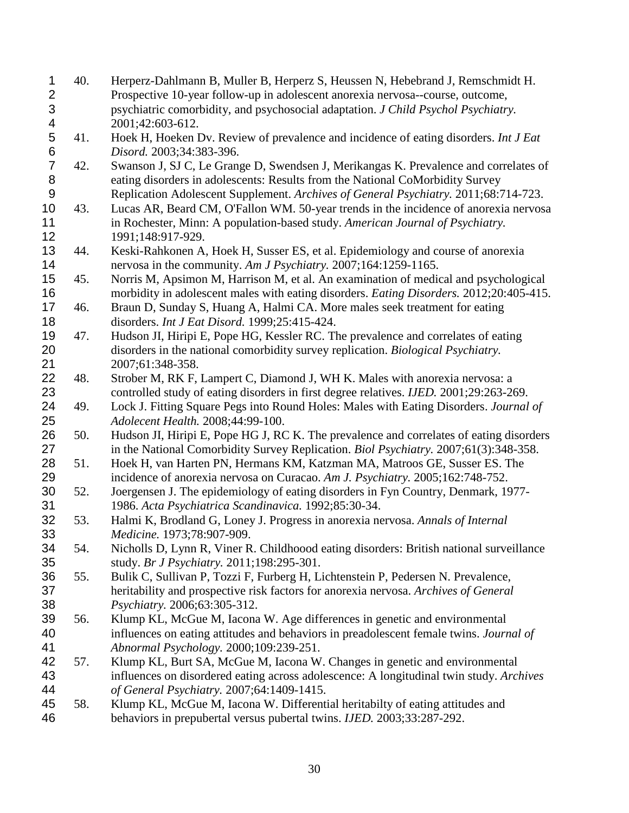<span id="page-29-18"></span><span id="page-29-17"></span><span id="page-29-16"></span><span id="page-29-15"></span><span id="page-29-14"></span><span id="page-29-13"></span><span id="page-29-12"></span><span id="page-29-11"></span><span id="page-29-10"></span><span id="page-29-9"></span><span id="page-29-8"></span><span id="page-29-7"></span><span id="page-29-6"></span><span id="page-29-5"></span><span id="page-29-4"></span><span id="page-29-3"></span><span id="page-29-2"></span><span id="page-29-1"></span><span id="page-29-0"></span>

| $\mathbf{1}$   | 40. | Herperz-Dahlmann B, Muller B, Herperz S, Heussen N, Hebebrand J, Remschmidt H.                 |
|----------------|-----|------------------------------------------------------------------------------------------------|
| $\overline{2}$ |     | Prospective 10-year follow-up in adolescent anorexia nervosa--course, outcome,                 |
| 3              |     | psychiatric comorbidity, and psychosocial adaptation. J Child Psychol Psychiatry.              |
| 4              |     | 2001;42:603-612.                                                                               |
| 5              | 41. | Hoek H, Hoeken Dv. Review of prevalence and incidence of eating disorders. Int J Eat           |
| 6              |     | Disord. 2003;34:383-396.                                                                       |
| $\overline{7}$ | 42. | Swanson J, SJ C, Le Grange D, Swendsen J, Merikangas K. Prevalence and correlates of           |
| 8              |     | eating disorders in adolescents: Results from the National CoMorbidity Survey                  |
| 9              |     | Replication Adolescent Supplement. Archives of General Psychiatry. 2011;68:714-723.            |
| 10             | 43. | Lucas AR, Beard CM, O'Fallon WM. 50-year trends in the incidence of anorexia nervosa           |
| 11             |     | in Rochester, Minn: A population-based study. American Journal of Psychiatry.                  |
| 12             |     | 1991;148:917-929.                                                                              |
| 13             | 44. | Keski-Rahkonen A, Hoek H, Susser ES, et al. Epidemiology and course of anorexia                |
| 14             |     | nervosa in the community. Am J Psychiatry. 2007;164:1259-1165.                                 |
| 15             | 45. | Norris M, Apsimon M, Harrison M, et al. An examination of medical and psychological            |
| 16             |     | morbidity in adolescent males with eating disorders. Eating Disorders. 2012;20:405-415.        |
| 17             | 46. | Braun D, Sunday S, Huang A, Halmi CA. More males seek treatment for eating                     |
| 18             |     | disorders. Int J Eat Disord. 1999;25:415-424.                                                  |
| 19             | 47. | Hudson JI, Hiripi E, Pope HG, Kessler RC. The prevalence and correlates of eating              |
| 20             |     | disorders in the national comorbidity survey replication. Biological Psychiatry.               |
| 21             |     | 2007;61:348-358.                                                                               |
| 22             | 48. | Strober M, RK F, Lampert C, Diamond J, WH K. Males with anorexia nervosa: a                    |
| 23             |     | controlled study of eating disorders in first degree relatives. <i>IJED</i> . 2001;29:263-269. |
| 24             | 49. | Lock J. Fitting Square Pegs into Round Holes: Males with Eating Disorders. Journal of          |
| 25             |     | Adolecent Health. 2008;44:99-100.                                                              |
| 26             | 50. | Hudson JI, Hiripi E, Pope HG J, RC K. The prevalence and correlates of eating disorders        |
| 27             |     | in the National Comorbidity Survey Replication. Biol Psychiatry. 2007;61(3):348-358.           |
| 28             | 51. | Hoek H, van Harten PN, Hermans KM, Katzman MA, Matroos GE, Susser ES. The                      |
| 29             |     | incidence of anorexia nervosa on Curacao. Am J. Psychiatry. 2005;162:748-752.                  |
| 30             | 52. | Joergensen J. The epidemiology of eating disorders in Fyn Country, Denmark, 1977-              |
| 31             |     | 1986. Acta Psychiatrica Scandinavica. 1992;85:30-34.                                           |
| 32             | 53. | Halmi K, Brodland G, Loney J. Progress in anorexia nervosa. Annals of Internal                 |
| 33             |     | Medicine. 1973;78:907-909.                                                                     |
| 34             | 54. | Nicholls D, Lynn R, Viner R. Childhoood eating disorders: British national surveillance        |
| 35             |     | study. Br J Psychiatry. 2011;198:295-301.                                                      |
| 36             | 55. | Bulik C, Sullivan P, Tozzi F, Furberg H, Lichtenstein P, Pedersen N. Prevalence,               |
| 37             |     | heritability and prospective risk factors for anorexia nervosa. Archives of General            |
| 38             |     | Psychiatry. 2006;63:305-312.                                                                   |
| 39             | 56. | Klump KL, McGue M, Iacona W. Age differences in genetic and environmental                      |
| 40             |     | influences on eating attitudes and behaviors in preadolescent female twins. Journal of         |
| 41             |     | Abnormal Psychology. 2000;109:239-251.                                                         |
| 42             | 57. | Klump KL, Burt SA, McGue M, Iacona W. Changes in genetic and environmental                     |
| 43             |     | influences on disordered eating across adolescence: A longitudinal twin study. Archives        |
| 44             |     | of General Psychiatry. 2007;64:1409-1415.                                                      |
| 45             | 58. | Klump KL, McGue M, Iacona W. Differential heritabilty of eating attitudes and                  |
| 46             |     | behaviors in prepubertal versus pubertal twins. IJED. 2003;33:287-292.                         |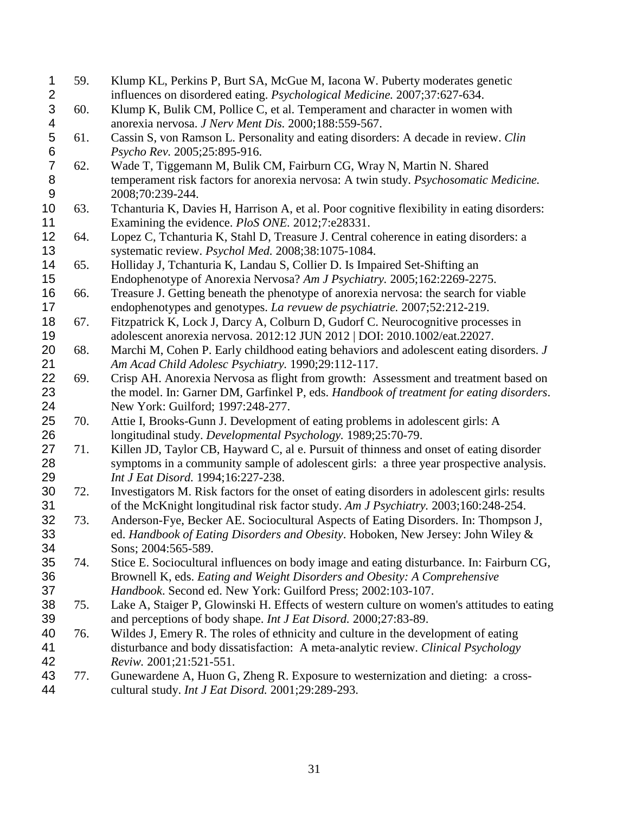<span id="page-30-13"></span><span id="page-30-12"></span><span id="page-30-11"></span><span id="page-30-10"></span><span id="page-30-9"></span><span id="page-30-8"></span><span id="page-30-7"></span><span id="page-30-6"></span><span id="page-30-5"></span><span id="page-30-4"></span><span id="page-30-3"></span><span id="page-30-2"></span><span id="page-30-1"></span><span id="page-30-0"></span>

| $\mathbf 1$    | 59. | Klump KL, Perkins P, Burt SA, McGue M, Iacona W. Puberty moderates genetic                   |
|----------------|-----|----------------------------------------------------------------------------------------------|
| $\overline{2}$ |     | influences on disordered eating. Psychological Medicine. 2007;37:627-634.                    |
| 3              | 60. | Klump K, Bulik CM, Pollice C, et al. Temperament and character in women with                 |
| 4              |     | anorexia nervosa. J Nerv Ment Dis. 2000;188:559-567.                                         |
| 5              | 61. | Cassin S, von Ramson L. Personality and eating disorders: A decade in review. Clin           |
| 6              |     | Psycho Rev. 2005;25:895-916.                                                                 |
| $\overline{7}$ | 62. | Wade T, Tiggemann M, Bulik CM, Fairburn CG, Wray N, Martin N. Shared                         |
| 8              |     | temperament risk factors for anorexia nervosa: A twin study. Psychosomatic Medicine.         |
| 9              |     | 2008;70:239-244.                                                                             |
| 10             | 63. | Tchanturia K, Davies H, Harrison A, et al. Poor cognitive flexibility in eating disorders:   |
| 11             |     | Examining the evidence. <i>PloS ONE</i> . 2012;7:e28331.                                     |
| 12             | 64. | Lopez C, Tchanturia K, Stahl D, Treasure J. Central coherence in eating disorders: a         |
| 13             |     | systematic review. Psychol Med. 2008;38:1075-1084.                                           |
| 14             | 65. | Holliday J, Tchanturia K, Landau S, Collier D. Is Impaired Set-Shifting an                   |
| 15             |     | Endophenotype of Anorexia Nervosa? Am J Psychiatry. 2005;162:2269-2275.                      |
| 16             | 66. | Treasure J. Getting beneath the phenotype of anorexia nervosa: the search for viable         |
| 17             |     | endophenotypes and genotypes. La revuew de psychiatrie. 2007;52:212-219.                     |
| 18             | 67. | Fitzpatrick K, Lock J, Darcy A, Colburn D, Gudorf C. Neurocognitive processes in             |
| 19             |     | adolescent anorexia nervosa. 2012:12 JUN 2012   DOI: 2010.1002/eat.22027.                    |
| 20             | 68. | Marchi M, Cohen P. Early childhood eating behaviors and adolescent eating disorders. J       |
| 21             |     | Am Acad Child Adolesc Psychiatry. 1990;29:112-117.                                           |
| 22             | 69. | Crisp AH. Anorexia Nervosa as flight from growth: Assessment and treatment based on          |
| 23             |     | the model. In: Garner DM, Garfinkel P, eds. Handbook of treatment for eating disorders.      |
| 24             |     | New York: Guilford; 1997:248-277.                                                            |
| 25             | 70. | Attie I, Brooks-Gunn J. Development of eating problems in adolescent girls: A                |
| 26             |     | longitudinal study. Developmental Psychology. 1989;25:70-79.                                 |
| 27             | 71. | Killen JD, Taylor CB, Hayward C, al e. Pursuit of thinness and onset of eating disorder      |
| 28             |     | symptoms in a community sample of adolescent girls: a three year prospective analysis.       |
| 29             |     | Int J Eat Disord. 1994;16:227-238.                                                           |
| 30             | 72. | Investigators M. Risk factors for the onset of eating disorders in adolescent girls: results |
| 31             |     | of the McKnight longitudinal risk factor study. Am J Psychiatry. 2003;160:248-254.           |
| 32             | 73. | Anderson-Fye, Becker AE. Sociocultural Aspects of Eating Disorders. In: Thompson J,          |
| 33             |     | ed. Handbook of Eating Disorders and Obesity. Hoboken, New Jersey: John Wiley &              |
| 34             |     | Sons; 2004:565-589.                                                                          |
| 35             | 74. | Stice E. Sociocultural influences on body image and eating disturbance. In: Fairburn CG,     |
| 36             |     | Brownell K, eds. Eating and Weight Disorders and Obesity: A Comprehensive                    |
| 37             |     | Handbook. Second ed. New York: Guilford Press; 2002:103-107.                                 |
| 38             | 75. | Lake A, Staiger P, Glowinski H. Effects of western culture on women's attitudes to eating    |
| 39             |     | and perceptions of body shape. Int J Eat Disord. 2000;27:83-89.                              |
| 40             | 76. | Wildes J, Emery R. The roles of ethnicity and culture in the development of eating           |
| 41             |     | disturbance and body dissatisfaction: A meta-analytic review. Clinical Psychology            |
| 42             |     | Reviw. 2001;21:521-551.                                                                      |
| 43             | 77. | Gunewardene A, Huon G, Zheng R. Exposure to westernization and dieting: a cross-             |
| 44             |     | cultural study. Int J Eat Disord. 2001;29:289-293.                                           |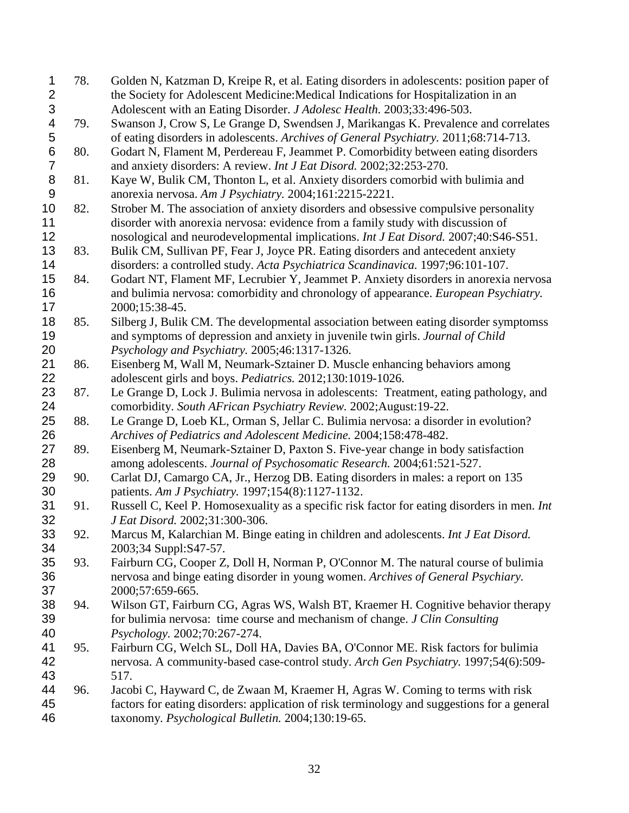<span id="page-31-15"></span><span id="page-31-14"></span><span id="page-31-13"></span><span id="page-31-12"></span><span id="page-31-11"></span><span id="page-31-10"></span><span id="page-31-9"></span><span id="page-31-8"></span><span id="page-31-7"></span><span id="page-31-6"></span><span id="page-31-5"></span><span id="page-31-4"></span><span id="page-31-3"></span><span id="page-31-2"></span><span id="page-31-1"></span><span id="page-31-0"></span>

| 1                       | 78. | Golden N, Katzman D, Kreipe R, et al. Eating disorders in adolescents: position paper of    |
|-------------------------|-----|---------------------------------------------------------------------------------------------|
| $\overline{\mathbf{c}}$ |     | the Society for Adolescent Medicine: Medical Indications for Hospitalization in an          |
| 3                       |     | Adolescent with an Eating Disorder. J Adolesc Health. 2003;33:496-503.                      |
| 4                       | 79. | Swanson J, Crow S, Le Grange D, Swendsen J, Marikangas K. Prevalence and correlates         |
| 5                       |     | of eating disorders in adolescents. Archives of General Psychiatry. 2011;68:714-713.        |
| $\,6$                   | 80. | Godart N, Flament M, Perdereau F, Jeammet P. Comorbidity between eating disorders           |
| $\overline{7}$          |     | and anxiety disorders: A review. Int J Eat Disord. 2002;32:253-270.                         |
| 8                       | 81. | Kaye W, Bulik CM, Thonton L, et al. Anxiety disorders comorbid with bulimia and             |
| $\boldsymbol{9}$        |     | anorexia nervosa. Am J Psychiatry. 2004;161:2215-2221.                                      |
| 10                      | 82. | Strober M. The association of anxiety disorders and obsessive compulsive personality        |
| 11                      |     | disorder with anorexia nervosa: evidence from a family study with discussion of             |
| 12                      |     | nosological and neurodevelopmental implications. Int J Eat Disord. 2007;40:S46-S51.         |
| 13                      | 83. | Bulik CM, Sullivan PF, Fear J, Joyce PR. Eating disorders and antecedent anxiety            |
| 14                      |     | disorders: a controlled study. Acta Psychiatrica Scandinavica. 1997;96:101-107.             |
| 15                      | 84. | Godart NT, Flament MF, Lecrubier Y, Jeammet P. Anxiety disorders in anorexia nervosa        |
| 16                      |     | and bulimia nervosa: comorbidity and chronology of appearance. European Psychiatry.         |
| 17                      |     |                                                                                             |
|                         |     | 2000;15:38-45.                                                                              |
| 18                      | 85. | Silberg J, Bulik CM. The developmental association between eating disorder symptomss        |
| 19                      |     | and symptoms of depression and anxiety in juvenile twin girls. Journal of Child             |
| 20                      |     | Psychology and Psychiatry. 2005;46:1317-1326.                                               |
| 21                      | 86. | Eisenberg M, Wall M, Neumark-Sztainer D. Muscle enhancing behaviors among                   |
| 22                      |     | adolescent girls and boys. Pediatrics. 2012;130:1019-1026.                                  |
| 23                      | 87. | Le Grange D, Lock J. Bulimia nervosa in adolescents: Treatment, eating pathology, and       |
| 24                      |     | comorbidity. South AFrican Psychiatry Review. 2002; August: 19-22.                          |
| 25                      | 88. | Le Grange D, Loeb KL, Orman S, Jellar C. Bulimia nervosa: a disorder in evolution?          |
| 26                      |     | Archives of Pediatrics and Adolescent Medicine. 2004;158:478-482.                           |
| 27                      | 89. | Eisenberg M, Neumark-Sztainer D, Paxton S. Five-year change in body satisfaction            |
| 28                      |     | among adolescents. Journal of Psychosomatic Research. 2004;61:521-527.                      |
| 29                      | 90. | Carlat DJ, Camargo CA, Jr., Herzog DB. Eating disorders in males: a report on 135           |
| 30                      |     | patients. Am J Psychiatry. 1997;154(8):1127-1132.                                           |
| 31                      | 91. | Russell C, Keel P. Homosexuality as a specific risk factor for eating disorders in men. Int |
| 32                      |     | J Eat Disord. 2002;31:300-306.                                                              |
| 33                      | 92. | Marcus M, Kalarchian M. Binge eating in children and adolescents. Int J Eat Disord.         |
| 34                      |     | 2003;34 Suppl:S47-57.                                                                       |
| 35                      | 93. | Fairburn CG, Cooper Z, Doll H, Norman P, O'Connor M. The natural course of bulimia          |
| 36                      |     | nervosa and binge eating disorder in young women. Archives of General Psychiary.            |
| 37                      |     | 2000;57:659-665.                                                                            |
| 38                      | 94. | Wilson GT, Fairburn CG, Agras WS, Walsh BT, Kraemer H. Cognitive behavior therapy           |
| 39                      |     | for bulimia nervosa: time course and mechanism of change. J Clin Consulting                 |
| 40                      |     | Psychology. 2002;70:267-274.                                                                |
| 41                      | 95. | Fairburn CG, Welch SL, Doll HA, Davies BA, O'Connor ME. Risk factors for bulimia            |
| 42                      |     | nervosa. A community-based case-control study. Arch Gen Psychiatry. 1997;54(6):509-         |
| 43                      |     | 517.                                                                                        |
| 44                      | 96. | Jacobi C, Hayward C, de Zwaan M, Kraemer H, Agras W. Coming to terms with risk              |
| 45                      |     | factors for eating disorders: application of risk terminology and suggestions for a general |
| 46                      |     | taxonomy. Psychological Bulletin. 2004;130:19-65.                                           |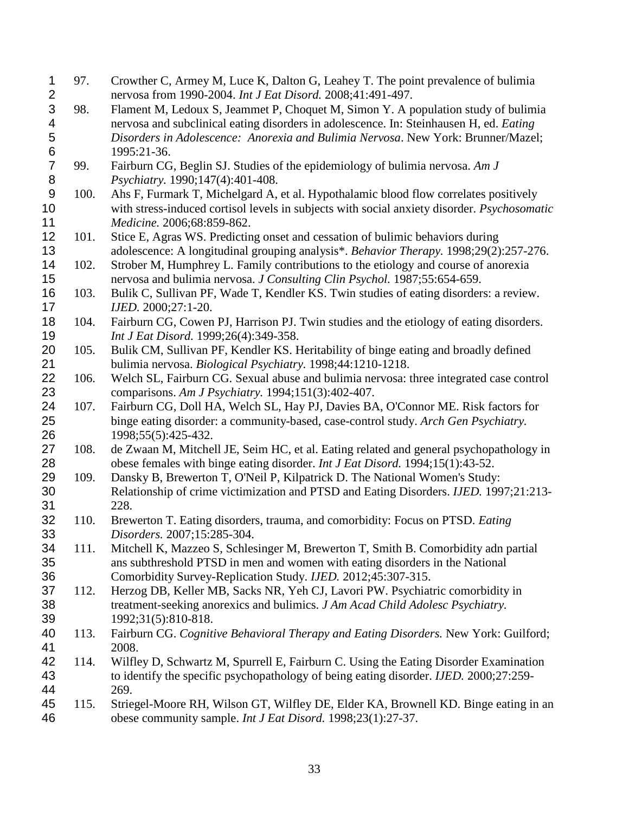<span id="page-32-9"></span><span id="page-32-8"></span><span id="page-32-7"></span><span id="page-32-6"></span><span id="page-32-5"></span><span id="page-32-4"></span><span id="page-32-3"></span><span id="page-32-2"></span><span id="page-32-1"></span><span id="page-32-0"></span>

| 1                | 97.  | Crowther C, Armey M, Luce K, Dalton G, Leahey T. The point prevalence of bulimia              |
|------------------|------|-----------------------------------------------------------------------------------------------|
| $\overline{2}$   |      | nervosa from 1990-2004. Int J Eat Disord. 2008;41:491-497.                                    |
| 3                | 98.  | Flament M, Ledoux S, Jeammet P, Choquet M, Simon Y. A population study of bulimia             |
| 4                |      | nervosa and subclinical eating disorders in adolescence. In: Steinhausen H, ed. Eating        |
| 5                |      | Disorders in Adolescence: Anorexia and Bulimia Nervosa. New York: Brunner/Mazel;              |
| $\,6$            |      | 1995:21-36.                                                                                   |
| $\overline{7}$   | 99.  | Fairburn CG, Beglin SJ. Studies of the epidemiology of bulimia nervosa. Am J                  |
| $\bf 8$          |      | Psychiatry. 1990;147(4):401-408.                                                              |
| $\boldsymbol{9}$ | 100. | Ahs F, Furmark T, Michelgard A, et al. Hypothalamic blood flow correlates positively          |
| 10               |      | with stress-induced cortisol levels in subjects with social anxiety disorder. Psychosomatic   |
| 11               |      | Medicine. 2006;68:859-862.                                                                    |
| 12               | 101. | Stice E, Agras WS. Predicting onset and cessation of bulimic behaviors during                 |
| 13               |      | adolescence: A longitudinal grouping analysis*. Behavior Therapy. 1998;29(2):257-276.         |
| 14               | 102. | Strober M, Humphrey L. Family contributions to the etiology and course of anorexia            |
| 15               |      | nervosa and bulimia nervosa. J Consulting Clin Psychol. 1987;55:654-659.                      |
| 16               | 103. | Bulik C, Sullivan PF, Wade T, Kendler KS. Twin studies of eating disorders: a review.         |
| 17               |      | IJED. 2000;27:1-20.                                                                           |
| 18               | 104. | Fairburn CG, Cowen PJ, Harrison PJ. Twin studies and the etiology of eating disorders.        |
| 19               |      | Int J Eat Disord. 1999;26(4):349-358.                                                         |
| 20               | 105. | Bulik CM, Sullivan PF, Kendler KS. Heritability of binge eating and broadly defined           |
| 21               |      | bulimia nervosa. Biological Psychiatry. 1998;44:1210-1218.                                    |
| 22               | 106. | Welch SL, Fairburn CG. Sexual abuse and bulimia nervosa: three integrated case control        |
| 23               |      | comparisons. Am J Psychiatry. 1994;151(3):402-407.                                            |
| 24               | 107. | Fairburn CG, Doll HA, Welch SL, Hay PJ, Davies BA, O'Connor ME. Risk factors for              |
| 25               |      | binge eating disorder: a community-based, case-control study. Arch Gen Psychiatry.            |
| 26               |      | 1998;55(5):425-432.                                                                           |
| 27               | 108. | de Zwaan M, Mitchell JE, Seim HC, et al. Eating related and general psychopathology in        |
| 28               |      | obese females with binge eating disorder. Int J Eat Disord. 1994;15(1):43-52.                 |
| 29               | 109. | Dansky B, Brewerton T, O'Neil P, Kilpatrick D. The National Women's Study:                    |
| 30               |      | Relationship of crime victimization and PTSD and Eating Disorders. IJED. 1997;21:213-         |
| 31               |      | 228.                                                                                          |
| 32               | 110. | Brewerton T. Eating disorders, trauma, and comorbidity: Focus on PTSD. Eating                 |
| 33               |      | Disorders. 2007;15:285-304.                                                                   |
| 34               |      |                                                                                               |
|                  | 111. | Mitchell K, Mazzeo S, Schlesinger M, Brewerton T, Smith B. Comorbidity adn partial            |
| 35               |      | ans subthreshold PTSD in men and women with eating disorders in the National                  |
| 36               |      | Comorbidity Survey-Replication Study. IJED. 2012;45:307-315.                                  |
| 37               | 112. | Herzog DB, Keller MB, Sacks NR, Yeh CJ, Lavori PW. Psychiatric comorbidity in                 |
| 38               |      | treatment-seeking anorexics and bulimics. J Am Acad Child Adolesc Psychiatry.                 |
| 39               |      | 1992;31(5):810-818.                                                                           |
| 40               | 113. | Fairburn CG. Cognitive Behavioral Therapy and Eating Disorders. New York: Guilford;           |
| 41               |      | 2008.                                                                                         |
| 42               | 114. | Wilfley D, Schwartz M, Spurrell E, Fairburn C. Using the Eating Disorder Examination          |
| 43               |      | to identify the specific psychopathology of being eating disorder. <i>IJED</i> . 2000;27:259- |
| 44               |      | 269.                                                                                          |
| 45               | 115. | Striegel-Moore RH, Wilson GT, Wilfley DE, Elder KA, Brownell KD. Binge eating in an           |
| 46               |      | obese community sample. Int J Eat Disord. 1998;23(1):27-37.                                   |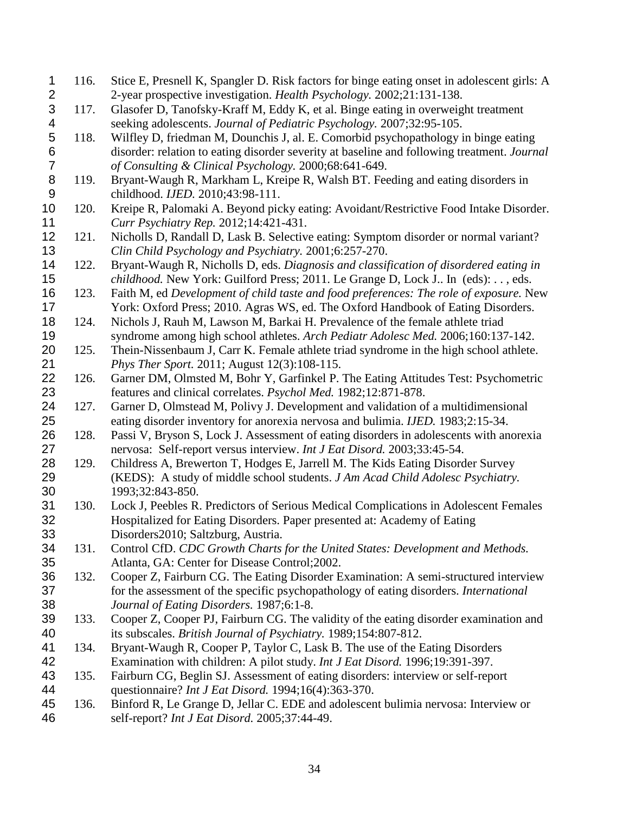<span id="page-33-19"></span><span id="page-33-18"></span><span id="page-33-17"></span><span id="page-33-16"></span><span id="page-33-15"></span><span id="page-33-14"></span><span id="page-33-13"></span><span id="page-33-12"></span><span id="page-33-11"></span><span id="page-33-10"></span><span id="page-33-9"></span><span id="page-33-8"></span><span id="page-33-7"></span><span id="page-33-6"></span><span id="page-33-5"></span><span id="page-33-4"></span><span id="page-33-3"></span><span id="page-33-2"></span><span id="page-33-1"></span><span id="page-33-0"></span> 116. Stice E, Presnell K, Spangler D. Risk factors for binge eating onset in adolescent girls: A 2-year prospective investigation. *Health Psychology.* 2002;21:131-138.<br>3 117. Glasofer D, Tanofsky-Kraff M, Eddy K, et al. Binge eating in overweig 117. Glasofer D, Tanofsky-Kraff M, Eddy K, et al. Binge eating in overweight treatment 4 seeking adolescents. *Journal of Pediatric Psychology*. 2007;32:95-105.<br>5 118. Wilfley D, friedman M, Dounchis J, al. E. Comorbid psychopathology i 118. Wilfley D, friedman M, Dounchis J, al. E. Comorbid psychopathology in binge eating disorder: relation to eating disorder severity at baseline and following treatment. *Journal of Consulting & Clinical Psychology.* 2000;68:641-649. 119. Bryant-Waugh R, Markham L, Kreipe R, Walsh BT. Feeding and eating disorders in childhood. *IJED.* 2010;43:98-111. 120. Kreipe R, Palomaki A. Beyond picky eating: Avoidant/Restrictive Food Intake Disorder. *Curr Psychiatry Rep.* 2012;14:421-431. 121. Nicholls D, Randall D, Lask B. Selective eating: Symptom disorder or normal variant? *Clin Child Psychology and Psychiatry.* 2001;6:257-270. 122. Bryant-Waugh R, Nicholls D, eds. *Diagnosis and classification of disordered eating in childhood.* New York: Guilford Press; 2011. Le Grange D, Lock J.. In (eds): . . , eds. 123. Faith M, ed *Development of child taste and food preferences: The role of exposure.* New York: Oxford Press; 2010. Agras WS, ed. The Oxford Handbook of Eating Disorders. 124. Nichols J, Rauh M, Lawson M, Barkai H. Prevalence of the female athlete triad syndrome among high school athletes. *Arch Pediatr Adolesc Med.* 2006;160:137-142. 20 125. Thein-Nissenbaum J, Carr K. Female athlete triad syndrome in the high school athlete. *Phys Ther Sport.* 2011; August 12(3):108-115. 126. Garner DM, Olmsted M, Bohr Y, Garfinkel P. The Eating Attitudes Test: Psychometric features and clinical correlates. *Psychol Med.* 1982;12:871-878. 127. Garner D, Olmstead M, Polivy J. Development and validation of a multidimensional eating disorder inventory for anorexia nervosa and bulimia. *IJED.* 1983;2:15-34. 128. Passi V, Bryson S, Lock J. Assessment of eating disorders in adolescents with anorexia nervosa: Self-report versus interview. *Int J Eat Disord.* 2003;33:45-54. 129. Childress A, Brewerton T, Hodges E, Jarrell M. The Kids Eating Disorder Survey (KEDS): A study of middle school students. *J Am Acad Child Adolesc Psychiatry.*  1993;32:843-850. 31 130. Lock J, Peebles R. Predictors of Serious Medical Complications in Adolescent Females<br>32 Hospitalized for Eating Disorders. Paper presented at: Academy of Eating Hospitalized for Eating Disorders. Paper presented at: Academy of Eating Disorders2010; Saltzburg, Austria. 131. Control CfD. *CDC Growth Charts for the United States: Development and Methods.*  Atlanta, GA: Center for Disease Control;2002. 132. Cooper Z, Fairburn CG. The Eating Disorder Examination: A semi-structured interview for the assessment of the specific psychopathology of eating disorders. *International Journal of Eating Disorders.* 1987;6:1-8. 133. Cooper Z, Cooper PJ, Fairburn CG. The validity of the eating disorder examination and its subscales. *British Journal of Psychiatry.* 1989;154:807-812. 134. Bryant-Waugh R, Cooper P, Taylor C, Lask B. The use of the Eating Disorders Examination with children: A pilot study. *Int J Eat Disord.* 1996;19:391-397. 135. Fairburn CG, Beglin SJ. Assessment of eating disorders: interview or self-report questionnaire? *Int J Eat Disord.* 1994;16(4):363-370. 136. Binford R, Le Grange D, Jellar C. EDE and adolescent bulimia nervosa: Interview or self-report? *Int J Eat Disord.* 2005;37:44-49.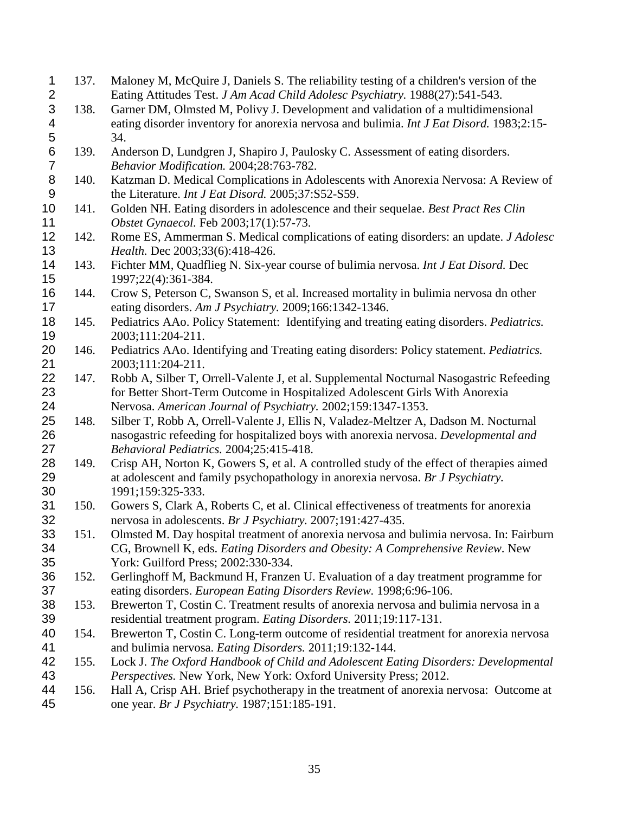<span id="page-34-19"></span><span id="page-34-18"></span><span id="page-34-17"></span><span id="page-34-16"></span><span id="page-34-15"></span><span id="page-34-14"></span><span id="page-34-13"></span><span id="page-34-12"></span><span id="page-34-11"></span><span id="page-34-10"></span><span id="page-34-9"></span><span id="page-34-8"></span><span id="page-34-7"></span><span id="page-34-6"></span><span id="page-34-5"></span><span id="page-34-4"></span><span id="page-34-3"></span><span id="page-34-2"></span><span id="page-34-1"></span><span id="page-34-0"></span>

| $\mathbf 1$    | 137. | Maloney M, McQuire J, Daniels S. The reliability testing of a children's version of the  |
|----------------|------|------------------------------------------------------------------------------------------|
| $\mathbf{2}$   |      | Eating Attitudes Test. J Am Acad Child Adolesc Psychiatry. 1988(27):541-543.             |
| 3              | 138. | Garner DM, Olmsted M, Polivy J. Development and validation of a multidimensional         |
| 4              |      | eating disorder inventory for anorexia nervosa and bulimia. Int J Eat Disord. 1983;2:15- |
| 5              |      | 34.                                                                                      |
| $\,6$          | 139. | Anderson D, Lundgren J, Shapiro J, Paulosky C. Assessment of eating disorders.           |
| $\overline{7}$ |      | Behavior Modification. 2004;28:763-782.                                                  |
| $\bf 8$        | 140. | Katzman D. Medical Complications in Adolescents with Anorexia Nervosa: A Review of       |
| 9              |      | the Literature. Int J Eat Disord. 2005;37:S52-S59.                                       |
| 10             | 141. | Golden NH. Eating disorders in adolescence and their sequelae. Best Pract Res Clin       |
| 11             |      | Obstet Gynaecol. Feb 2003;17(1):57-73.                                                   |
| 12             | 142. | Rome ES, Ammerman S. Medical complications of eating disorders: an update. J Adolesc     |
| 13             |      | Health. Dec 2003;33(6):418-426.                                                          |
| 14             | 143. | Fichter MM, Quadflieg N. Six-year course of bulimia nervosa. Int J Eat Disord. Dec       |
| 15             |      | 1997;22(4):361-384.                                                                      |
| 16             | 144. | Crow S, Peterson C, Swanson S, et al. Increased mortality in bulimia nervosa dn other    |
| 17             |      | eating disorders. Am J Psychiatry. 2009;166:1342-1346.                                   |
| 18             | 145. | Pediatrics AAo. Policy Statement: Identifying and treating eating disorders. Pediatrics. |
| 19             |      | 2003;111:204-211.                                                                        |
| 20             | 146. | Pediatrics AAo. Identifying and Treating eating disorders: Policy statement. Pediatrics. |
| 21             |      | 2003;111:204-211.                                                                        |
| 22             | 147. | Robb A, Silber T, Orrell-Valente J, et al. Supplemental Nocturnal Nasogastric Refeeding  |
| 23             |      | for Better Short-Term Outcome in Hospitalized Adolescent Girls With Anorexia             |
| 24             |      | Nervosa. American Journal of Psychiatry. 2002;159:1347-1353.                             |
| 25             | 148. | Silber T, Robb A, Orrell-Valente J, Ellis N, Valadez-Meltzer A, Dadson M. Nocturnal      |
| 26             |      | nasogastric refeeding for hospitalized boys with anorexia nervosa. Developmental and     |
| 27             |      | Behavioral Pediatrics. 2004;25:415-418.                                                  |
| 28             | 149. | Crisp AH, Norton K, Gowers S, et al. A controlled study of the effect of therapies aimed |
| 29             |      | at adolescent and family psychopathology in anorexia nervosa. Br J Psychiatry.           |
| 30             |      | 1991;159:325-333.                                                                        |
| 31             | 150. | Gowers S, Clark A, Roberts C, et al. Clinical effectiveness of treatments for anorexia   |
| 32             |      | nervosa in adolescents. Br J Psychiatry. 2007;191:427-435.                               |
| 33             | 151. | Olmsted M. Day hospital treatment of anorexia nervosa and bulimia nervosa. In: Fairburn  |
| 34             |      | CG, Brownell K, eds. Eating Disorders and Obesity: A Comprehensive Review. New           |
| 35             |      | York: Guilford Press; 2002:330-334.                                                      |
| 36             | 152. | Gerlinghoff M, Backmund H, Franzen U. Evaluation of a day treatment programme for        |
| 37             |      | eating disorders. European Eating Disorders Review. 1998;6:96-106.                       |
| 38             | 153. | Brewerton T, Costin C. Treatment results of anorexia nervosa and bulimia nervosa in a    |
| 39             |      | residential treatment program. Eating Disorders. 2011;19:117-131.                        |
| 40             | 154. | Brewerton T, Costin C. Long-term outcome of residential treatment for anorexia nervosa   |
| 41             |      | and bulimia nervosa. Eating Disorders. 2011;19:132-144.                                  |
| 42             | 155. | Lock J. The Oxford Handbook of Child and Adolescent Eating Disorders: Developmental      |
| 43             |      | Perspectives. New York, New York: Oxford University Press; 2012.                         |
| 44             | 156. | Hall A, Crisp AH. Brief psychotherapy in the treatment of anorexia nervosa: Outcome at   |
| 45             |      | one year. Br J Psychiatry. 1987;151:185-191.                                             |
|                |      |                                                                                          |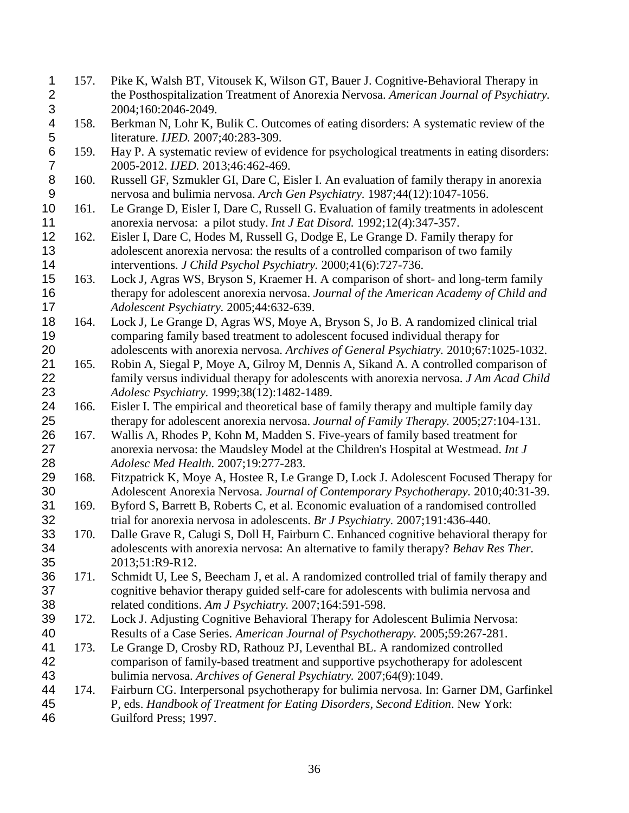<span id="page-35-15"></span><span id="page-35-14"></span><span id="page-35-13"></span><span id="page-35-12"></span><span id="page-35-11"></span><span id="page-35-10"></span><span id="page-35-9"></span><span id="page-35-8"></span><span id="page-35-7"></span><span id="page-35-6"></span><span id="page-35-5"></span><span id="page-35-4"></span><span id="page-35-3"></span><span id="page-35-2"></span><span id="page-35-1"></span><span id="page-35-0"></span>1 157. Pike K, Walsh BT, Vitousek K, Wilson GT, Bauer J. Cognitive-Behavioral Therapy in<br>2 the Posthospitalization Treatment of Anorexia Nervosa. American Journal of Psychiatr the Posthospitalization Treatment of Anorexia Nervosa. *American Journal of Psychiatry.*  2004;160:2046-2049. 158. Berkman N, Lohr K, Bulik C. Outcomes of eating disorders: A systematic review of the literature. *IJED.* 2007;40:283-309. 159. Hay P. A systematic review of evidence for psychological treatments in eating disorders: 2005-2012. *IJED.* 2013;46:462-469. 8 160. Russell GF, Szmukler GI, Dare C, Eisler I. An evaluation of family therapy in anorexia<br>9 mervosa and bulimia nervosa. Arch Gen Psychiatry. 1987;44(12):1047-1056. nervosa and bulimia nervosa. *Arch Gen Psychiatry.* 1987;44(12):1047-1056. 161. Le Grange D, Eisler I, Dare C, Russell G. Evaluation of family treatments in adolescent anorexia nervosa: a pilot study. *Int J Eat Disord.* 1992;12(4):347-357. 162. Eisler I, Dare C, Hodes M, Russell G, Dodge E, Le Grange D. Family therapy for adolescent anorexia nervosa: the results of a controlled comparison of two family interventions. *J Child Psychol Psychiatry.* 2000;41(6):727-736. 163. Lock J, Agras WS, Bryson S, Kraemer H. A comparison of short- and long-term family therapy for adolescent anorexia nervosa. *Journal of the American Academy of Child and Adolescent Psychiatry.* 2005;44:632-639. 164. Lock J, Le Grange D, Agras WS, Moye A, Bryson S, Jo B. A randomized clinical trial comparing family based treatment to adolescent focused individual therapy for adolescents with anorexia nervosa. *Archives of General Psychiatry.* 2010;67:1025-1032. 165. Robin A, Siegal P, Moye A, Gilroy M, Dennis A, Sikand A. A controlled comparison of family versus individual therapy for adolescents with anorexia nervosa. *J Am Acad Child Adolesc Psychiatry.* 1999;38(12):1482-1489. 166. Eisler I. The empirical and theoretical base of family therapy and multiple family day therapy for adolescent anorexia nervosa. *Journal of Family Therapy.* 2005;27:104-131. 167. Wallis A, Rhodes P, Kohn M, Madden S. Five-years of family based treatment for anorexia nervosa: the Maudsley Model at the Children's Hospital at Westmead. *Int J Adolesc Med Health.* 2007;19:277-283. 168. Fitzpatrick K, Moye A, Hostee R, Le Grange D, Lock J. Adolescent Focused Therapy for Adolescent Anorexia Nervosa. *Journal of Contemporary Psychotherapy.* 2010;40:31-39. 31 169. Byford S, Barrett B, Roberts C, et al. Economic evaluation of a randomised controlled<br>32 trial for anorexia nervosa in adolescents. Br J Psychiatry. 2007;191:436-440. trial for anorexia nervosa in adolescents. *Br J Psychiatry.* 2007;191:436-440. 170. Dalle Grave R, Calugi S, Doll H, Fairburn C. Enhanced cognitive behavioral therapy for adolescents with anorexia nervosa: An alternative to family therapy? *Behav Res Ther.*  2013;51:R9-R12. 171. Schmidt U, Lee S, Beecham J, et al. A randomized controlled trial of family therapy and cognitive behavior therapy guided self-care for adolescents with bulimia nervosa and related conditions. *Am J Psychiatry.* 2007;164:591-598. 172. Lock J. Adjusting Cognitive Behavioral Therapy for Adolescent Bulimia Nervosa: Results of a Case Series. *American Journal of Psychotherapy.* 2005;59:267-281. 173. Le Grange D, Crosby RD, Rathouz PJ, Leventhal BL. A randomized controlled comparison of family-based treatment and supportive psychotherapy for adolescent bulimia nervosa. *Archives of General Psychiatry.* 2007;64(9):1049. 174. Fairburn CG. Interpersonal psychotherapy for bulimia nervosa. In: Garner DM, Garfinkel P, eds. *Handbook of Treatment for Eating Disorders, Second Edition*. New York: Guilford Press; 1997.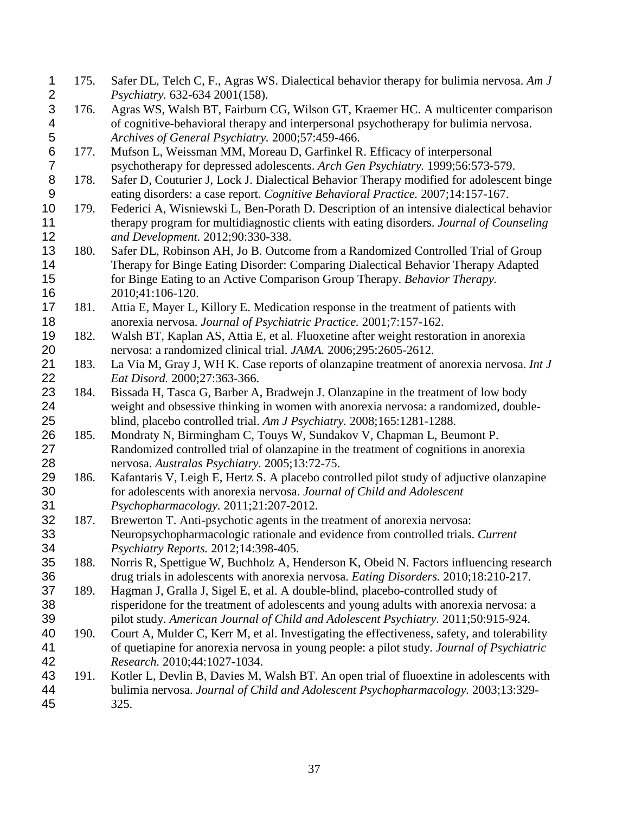<span id="page-36-15"></span><span id="page-36-14"></span><span id="page-36-13"></span><span id="page-36-12"></span><span id="page-36-11"></span><span id="page-36-10"></span><span id="page-36-9"></span><span id="page-36-8"></span><span id="page-36-7"></span><span id="page-36-6"></span><span id="page-36-5"></span><span id="page-36-4"></span><span id="page-36-3"></span><span id="page-36-2"></span><span id="page-36-1"></span><span id="page-36-0"></span>

| 1                       | 175. | Safer DL, Telch C, F., Agras WS. Dialectical behavior therapy for bulimia nervosa. Am J     |
|-------------------------|------|---------------------------------------------------------------------------------------------|
| $\overline{\mathbf{c}}$ |      | Psychiatry. 632-634 2001(158).                                                              |
| 3                       | 176. | Agras WS, Walsh BT, Fairburn CG, Wilson GT, Kraemer HC. A multicenter comparison            |
| 4                       |      | of cognitive-behavioral therapy and interpersonal psychotherapy for bulimia nervosa.        |
| 5                       |      | Archives of General Psychiatry. 2000;57:459-466.                                            |
| $\,6$                   | 177. | Mufson L, Weissman MM, Moreau D, Garfinkel R. Efficacy of interpersonal                     |
| $\overline{7}$          |      | psychotherapy for depressed adolescents. Arch Gen Psychiatry. 1999;56:573-579.              |
| 8                       | 178. | Safer D, Couturier J, Lock J. Dialectical Behavior Therapy modified for adolescent binge    |
| 9                       |      | eating disorders: a case report. Cognitive Behavioral Practice. 2007;14:157-167.            |
| 10                      | 179. | Federici A, Wisniewski L, Ben-Porath D. Description of an intensive dialectical behavior    |
| 11                      |      | therapy program for multidiagnostic clients with eating disorders. Journal of Counseling    |
| 12                      |      | and Development. 2012;90:330-338.                                                           |
| 13                      | 180. | Safer DL, Robinson AH, Jo B. Outcome from a Randomized Controlled Trial of Group            |
| 14                      |      | Therapy for Binge Eating Disorder: Comparing Dialectical Behavior Therapy Adapted           |
| 15                      |      | for Binge Eating to an Active Comparison Group Therapy. Behavior Therapy.                   |
| 16                      |      | 2010;41:106-120.                                                                            |
| 17                      | 181. | Attia E, Mayer L, Killory E. Medication response in the treatment of patients with          |
| 18                      |      | anorexia nervosa. Journal of Psychiatric Practice. 2001;7:157-162.                          |
| 19                      | 182. | Walsh BT, Kaplan AS, Attia E, et al. Fluoxetine after weight restoration in anorexia        |
| 20                      |      | nervosa: a randomized clinical trial. JAMA. 2006;295:2605-2612.                             |
| 21                      | 183. | La Via M, Gray J, WH K. Case reports of olanzapine treatment of anorexia nervosa. Int J     |
| 22                      |      | Eat Disord. 2000;27:363-366.                                                                |
| 23                      | 184. | Bissada H, Tasca G, Barber A, Bradwejn J. Olanzapine in the treatment of low body           |
| 24                      |      | weight and obsessive thinking in women with anorexia nervosa: a randomized, double-         |
| 25                      |      | blind, placebo controlled trial. Am J Psychiatry. 2008;165:1281-1288.                       |
| 26                      | 185. | Mondraty N, Birmingham C, Touys W, Sundakov V, Chapman L, Beumont P.                        |
| 27                      |      | Randomized controlled trial of olanzapine in the treatment of cognitions in anorexia        |
| 28                      |      | nervosa. Australas Psychiatry. 2005;13:72-75.                                               |
| 29                      | 186. | Kafantaris V, Leigh E, Hertz S. A placebo controlled pilot study of adjuctive olanzapine    |
| 30                      |      | for adolescents with anorexia nervosa. Journal of Child and Adolescent                      |
| 31                      |      | Psychopharmacology. 2011;21:207-2012.                                                       |
| 32                      | 187. | Brewerton T. Anti-psychotic agents in the treatment of anorexia nervosa:                    |
| 33                      |      | Neuropsychopharmacologic rationale and evidence from controlled trials. Current             |
| 34                      |      | Psychiatry Reports. 2012;14:398-405.                                                        |
| 35                      | 188. | Norris R, Spettigue W, Buchholz A, Henderson K, Obeid N. Factors influencing research       |
| 36                      |      | drug trials in adolescents with anorexia nervosa. Eating Disorders. 2010;18:210-217.        |
| 37                      | 189. | Hagman J, Gralla J, Sigel E, et al. A double-blind, placebo-controlled study of             |
| 38                      |      | risperidone for the treatment of adolescents and young adults with anorexia nervosa: a      |
| 39                      |      | pilot study. American Journal of Child and Adolescent Psychiatry. 2011;50:915-924.          |
| 40                      |      |                                                                                             |
|                         | 190. | Court A, Mulder C, Kerr M, et al. Investigating the effectiveness, safety, and tolerability |
| 41                      |      | of quetiapine for anorexia nervosa in young people: a pilot study. Journal of Psychiatric   |
| 42                      |      | Research. 2010;44:1027-1034.                                                                |
| 43                      | 191. | Kotler L, Devlin B, Davies M, Walsh BT. An open trial of fluoextine in adolescents with     |
| 44                      |      | bulimia nervosa. Journal of Child and Adolescent Psychopharmacology. 2003;13:329-           |
| 45                      |      | 325.                                                                                        |